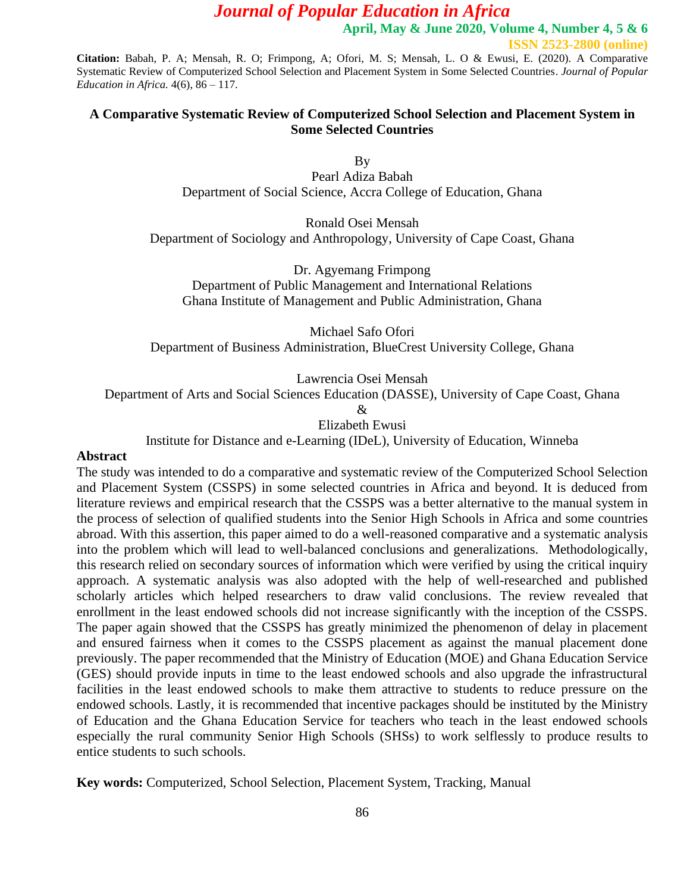**April, May & June 2020, Volume 4, Number 4, 5 & 6**

**ISSN 2523-2800 (online)**

**Citation:** Babah, P. A; Mensah, R. O; Frimpong, A; Ofori, M. S; Mensah, L. O & Ewusi, E. (2020). A Comparative Systematic Review of Computerized School Selection and Placement System in Some Selected Countries. *Journal of Popular Education in Africa.* 4(6), 86 – 117.

### **A Comparative Systematic Review of Computerized School Selection and Placement System in Some Selected Countries**

By Pearl Adiza Babah Department of Social Science, Accra College of Education, Ghana

Ronald Osei Mensah Department of Sociology and Anthropology, University of Cape Coast, Ghana

Dr. Agyemang Frimpong Department of Public Management and International Relations Ghana Institute of Management and Public Administration, Ghana

Michael Safo Ofori Department of Business Administration, BlueCrest University College, Ghana

Lawrencia Osei Mensah

Department of Arts and Social Sciences Education (DASSE), University of Cape Coast, Ghana

& Elizabeth Ewusi

Institute for Distance and e-Learning (IDeL), University of Education, Winneba

#### **Abstract**

The study was intended to do a comparative and systematic review of the Computerized School Selection and Placement System (CSSPS) in some selected countries in Africa and beyond. It is deduced from literature reviews and empirical research that the CSSPS was a better alternative to the manual system in the process of selection of qualified students into the Senior High Schools in Africa and some countries abroad. With this assertion, this paper aimed to do a well-reasoned comparative and a systematic analysis into the problem which will lead to well-balanced conclusions and generalizations. Methodologically, this research relied on secondary sources of information which were verified by using the critical inquiry approach. A systematic analysis was also adopted with the help of well-researched and published scholarly articles which helped researchers to draw valid conclusions. The review revealed that enrollment in the least endowed schools did not increase significantly with the inception of the CSSPS. The paper again showed that the CSSPS has greatly minimized the phenomenon of delay in placement and ensured fairness when it comes to the CSSPS placement as against the manual placement done previously. The paper recommended that the Ministry of Education (MOE) and Ghana Education Service (GES) should provide inputs in time to the least endowed schools and also upgrade the infrastructural facilities in the least endowed schools to make them attractive to students to reduce pressure on the endowed schools. Lastly, it is recommended that incentive packages should be instituted by the Ministry of Education and the Ghana Education Service for teachers who teach in the least endowed schools especially the rural community Senior High Schools (SHSs) to work selflessly to produce results to entice students to such schools.

**Key words:** Computerized, School Selection, Placement System, Tracking, Manual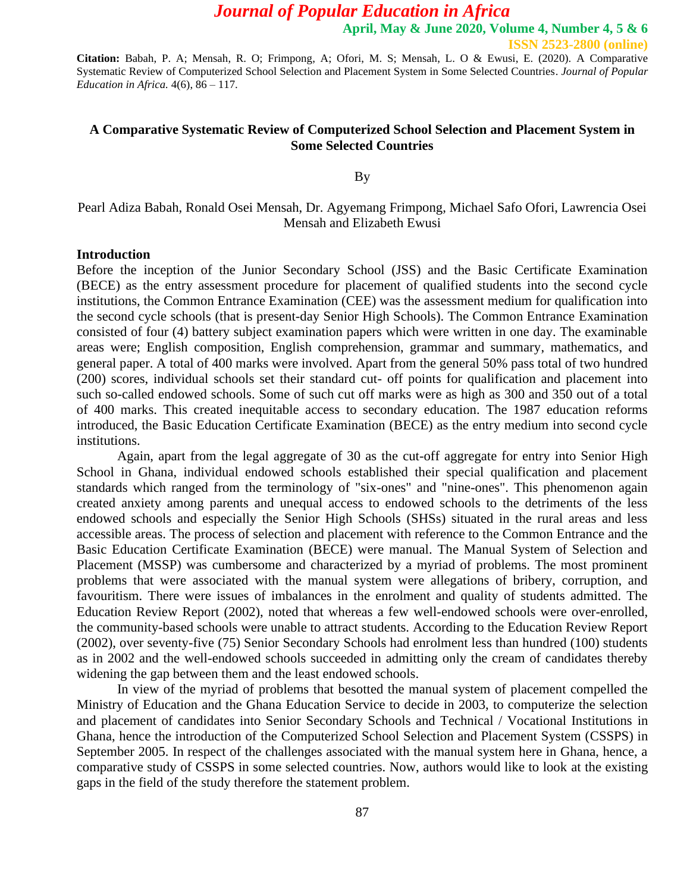**April, May & June 2020, Volume 4, Number 4, 5 & 6**

**ISSN 2523-2800 (online)**

**Citation:** Babah, P. A; Mensah, R. O; Frimpong, A; Ofori, M. S; Mensah, L. O & Ewusi, E. (2020). A Comparative Systematic Review of Computerized School Selection and Placement System in Some Selected Countries. *Journal of Popular Education in Africa.* 4(6), 86 – 117.

### **A Comparative Systematic Review of Computerized School Selection and Placement System in Some Selected Countries**

By

## Pearl Adiza Babah, Ronald Osei Mensah, Dr. Agyemang Frimpong, Michael Safo Ofori, Lawrencia Osei Mensah and Elizabeth Ewusi

#### **Introduction**

Before the inception of the Junior Secondary School (JSS) and the Basic Certificate Examination (BECE) as the entry assessment procedure for placement of qualified students into the second cycle institutions, the Common Entrance Examination (CEE) was the assessment medium for qualification into the second cycle schools (that is present-day Senior High Schools). The Common Entrance Examination consisted of four (4) battery subject examination papers which were written in one day. The examinable areas were; English composition, English comprehension, grammar and summary, mathematics, and general paper. A total of 400 marks were involved. Apart from the general 50% pass total of two hundred (200) scores, individual schools set their standard cut- off points for qualification and placement into such so-called endowed schools. Some of such cut off marks were as high as 300 and 350 out of a total of 400 marks. This created inequitable access to secondary education. The 1987 education reforms introduced, the Basic Education Certificate Examination (BECE) as the entry medium into second cycle institutions.

Again, apart from the legal aggregate of 30 as the cut-off aggregate for entry into Senior High School in Ghana, individual endowed schools established their special qualification and placement standards which ranged from the terminology of "six-ones" and "nine-ones". This phenomenon again created anxiety among parents and unequal access to endowed schools to the detriments of the less endowed schools and especially the Senior High Schools (SHSs) situated in the rural areas and less accessible areas. The process of selection and placement with reference to the Common Entrance and the Basic Education Certificate Examination (BECE) were manual. The Manual System of Selection and Placement (MSSP) was cumbersome and characterized by a myriad of problems. The most prominent problems that were associated with the manual system were allegations of bribery, corruption, and favouritism. There were issues of imbalances in the enrolment and quality of students admitted. The Education Review Report (2002), noted that whereas a few well-endowed schools were over-enrolled, the community-based schools were unable to attract students. According to the Education Review Report (2002), over seventy-five (75) Senior Secondary Schools had enrolment less than hundred (100) students as in 2002 and the well-endowed schools succeeded in admitting only the cream of candidates thereby widening the gap between them and the least endowed schools.

In view of the myriad of problems that besotted the manual system of placement compelled the Ministry of Education and the Ghana Education Service to decide in 2003, to computerize the selection and placement of candidates into Senior Secondary Schools and Technical / Vocational Institutions in Ghana, hence the introduction of the Computerized School Selection and Placement System (CSSPS) in September 2005. In respect of the challenges associated with the manual system here in Ghana, hence, a comparative study of CSSPS in some selected countries. Now, authors would like to look at the existing gaps in the field of the study therefore the statement problem.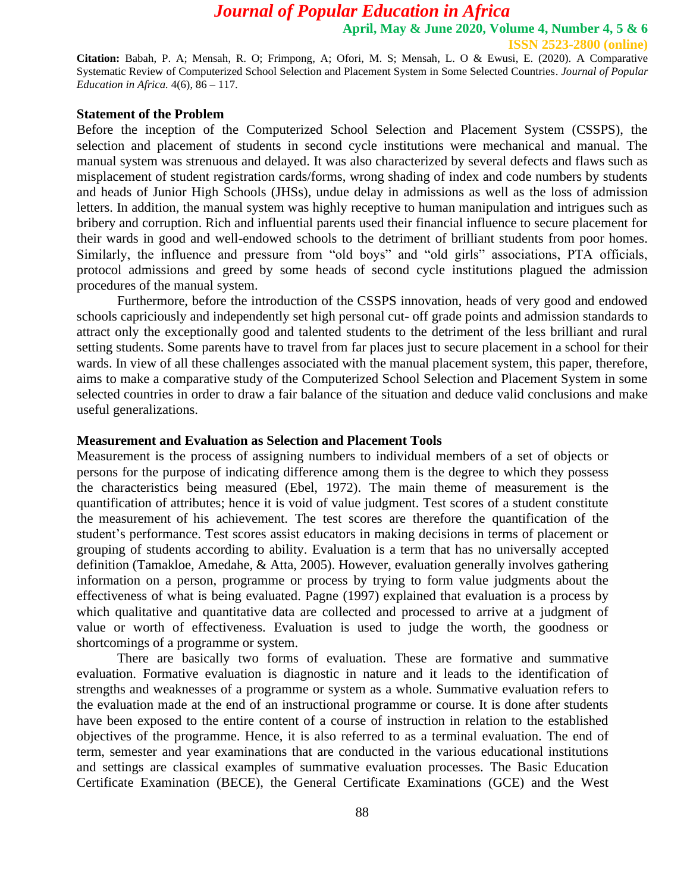**April, May & June 2020, Volume 4, Number 4, 5 & 6**

**ISSN 2523-2800 (online)**

**Citation:** Babah, P. A; Mensah, R. O; Frimpong, A; Ofori, M. S; Mensah, L. O & Ewusi, E. (2020). A Comparative Systematic Review of Computerized School Selection and Placement System in Some Selected Countries. *Journal of Popular Education in Africa.* 4(6), 86 – 117.

#### **Statement of the Problem**

Before the inception of the Computerized School Selection and Placement System (CSSPS), the selection and placement of students in second cycle institutions were mechanical and manual. The manual system was strenuous and delayed. It was also characterized by several defects and flaws such as misplacement of student registration cards/forms, wrong shading of index and code numbers by students and heads of Junior High Schools (JHSs), undue delay in admissions as well as the loss of admission letters. In addition, the manual system was highly receptive to human manipulation and intrigues such as bribery and corruption. Rich and influential parents used their financial influence to secure placement for their wards in good and well-endowed schools to the detriment of brilliant students from poor homes. Similarly, the influence and pressure from "old boys" and "old girls" associations, PTA officials, protocol admissions and greed by some heads of second cycle institutions plagued the admission procedures of the manual system.

Furthermore, before the introduction of the CSSPS innovation, heads of very good and endowed schools capriciously and independently set high personal cut- off grade points and admission standards to attract only the exceptionally good and talented students to the detriment of the less brilliant and rural setting students. Some parents have to travel from far places just to secure placement in a school for their wards. In view of all these challenges associated with the manual placement system, this paper, therefore, aims to make a comparative study of the Computerized School Selection and Placement System in some selected countries in order to draw a fair balance of the situation and deduce valid conclusions and make useful generalizations.

#### **Measurement and Evaluation as Selection and Placement Tools**

Measurement is the process of assigning numbers to individual members of a set of objects or persons for the purpose of indicating difference among them is the degree to which they possess the characteristics being measured (Ebel, 1972). The main theme of measurement is the quantification of attributes; hence it is void of value judgment. Test scores of a student constitute the measurement of his achievement. The test scores are therefore the quantification of the student's performance. Test scores assist educators in making decisions in terms of placement or grouping of students according to ability. Evaluation is a term that has no universally accepted definition (Tamakloe, Amedahe, & Atta, 2005). However, evaluation generally involves gathering information on a person, programme or process by trying to form value judgments about the effectiveness of what is being evaluated. Pagne (1997) explained that evaluation is a process by which qualitative and quantitative data are collected and processed to arrive at a judgment of value or worth of effectiveness. Evaluation is used to judge the worth, the goodness or shortcomings of a programme or system.

There are basically two forms of evaluation. These are formative and summative evaluation. Formative evaluation is diagnostic in nature and it leads to the identification of strengths and weaknesses of a programme or system as a whole. Summative evaluation refers to the evaluation made at the end of an instructional programme or course. It is done after students have been exposed to the entire content of a course of instruction in relation to the established objectives of the programme. Hence, it is also referred to as a terminal evaluation. The end of term, semester and year examinations that are conducted in the various educational institutions and settings are classical examples of summative evaluation processes. The Basic Education Certificate Examination (BECE), the General Certificate Examinations (GCE) and the West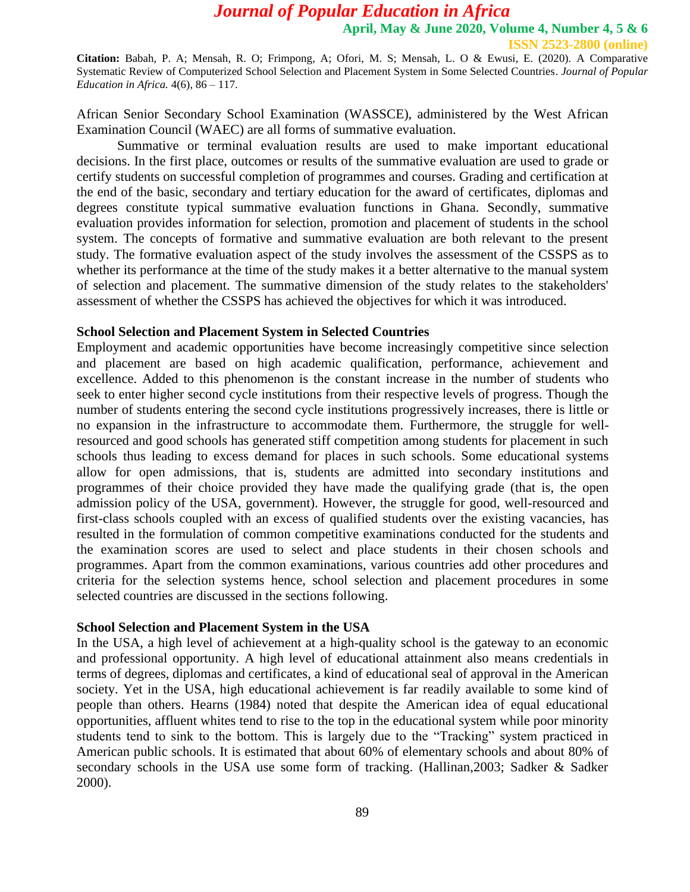**Citation:** Babah, P. A; Mensah, R. O; Frimpong, A; Ofori, M. S; Mensah, L. O & Ewusi, E. (2020). A Comparative Systematic Review of Computerized School Selection and Placement System in Some Selected Countries. *Journal of Popular Education in Africa.* 4(6), 86 – 117.

African Senior Secondary School Examination (WASSCE), administered by the West African Examination Council (WAEC) are all forms of summative evaluation.

Summative or terminal evaluation results are used to make important educational decisions. In the first place, outcomes or results of the summative evaluation are used to grade or certify students on successful completion of programmes and courses. Grading and certification at the end of the basic, secondary and tertiary education for the award of certificates, diplomas and degrees constitute typical summative evaluation functions in Ghana. Secondly, summative evaluation provides information for selection, promotion and placement of students in the school system. The concepts of formative and summative evaluation are both relevant to the present study. The formative evaluation aspect of the study involves the assessment of the CSSPS as to whether its performance at the time of the study makes it a better alternative to the manual system of selection and placement. The summative dimension of the study relates to the stakeholders' assessment of whether the CSSPS has achieved the objectives for which it was introduced.

#### **School Selection and Placement System in Selected Countries**

Employment and academic opportunities have become increasingly competitive since selection and placement are based on high academic qualification, performance, achievement and excellence. Added to this phenomenon is the constant increase in the number of students who seek to enter higher second cycle institutions from their respective levels of progress. Though the number of students entering the second cycle institutions progressively increases, there is little or no expansion in the infrastructure to accommodate them. Furthermore, the struggle for wellresourced and good schools has generated stiff competition among students for placement in such schools thus leading to excess demand for places in such schools. Some educational systems allow for open admissions, that is, students are admitted into secondary institutions and programmes of their choice provided they have made the qualifying grade (that is, the open admission policy of the USA, government). However, the struggle for good, well-resourced and first-class schools coupled with an excess of qualified students over the existing vacancies, has resulted in the formulation of common competitive examinations conducted for the students and the examination scores are used to select and place students in their chosen schools and programmes. Apart from the common examinations, various countries add other procedures and criteria for the selection systems hence, school selection and placement procedures in some selected countries are discussed in the sections following.

#### **School Selection and Placement System in the USA**

In the USA, a high level of achievement at a high-quality school is the gateway to an economic and professional opportunity. A high level of educational attainment also means credentials in terms of degrees, diplomas and certificates, a kind of educational seal of approval in the American society. Yet in the USA, high educational achievement is far readily available to some kind of people than others. Hearns (1984) noted that despite the American idea of equal educational opportunities, affluent whites tend to rise to the top in the educational system while poor minority students tend to sink to the bottom. This is largely due to the "Tracking" system practiced in American public schools. It is estimated that about 60% of elementary schools and about 80% of secondary schools in the USA use some form of tracking. (Hallinan,2003; Sadker & Sadker 2000).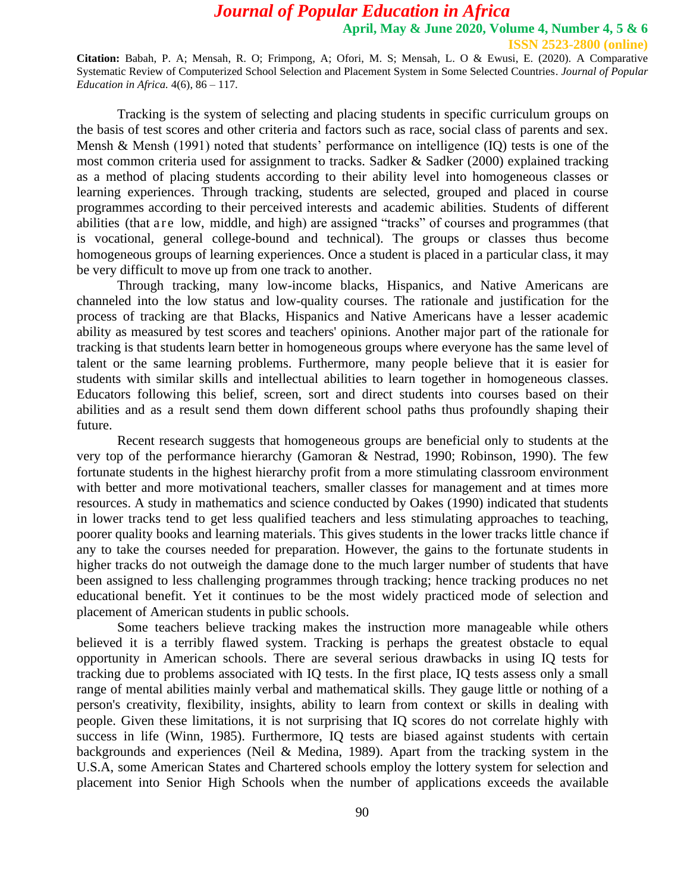**Citation:** Babah, P. A; Mensah, R. O; Frimpong, A; Ofori, M. S; Mensah, L. O & Ewusi, E. (2020). A Comparative Systematic Review of Computerized School Selection and Placement System in Some Selected Countries. *Journal of Popular Education in Africa.* 4(6), 86 – 117.

Tracking is the system of selecting and placing students in specific curriculum groups on the basis of test scores and other criteria and factors such as race, social class of parents and sex. Mensh & Mensh (1991) noted that students' performance on intelligence (IQ) tests is one of the most common criteria used for assignment to tracks. Sadker & Sadker (2000) explained tracking as a method of placing students according to their ability level into homogeneous classes or learning experiences. Through tracking, students are selected, grouped and placed in course programmes according to their perceived interests and academic abilities. Students of different abilities (that a r e low, middle, and high) are assigned "tracks" of courses and programmes (that is vocational, general college-bound and technical). The groups or classes thus become homogeneous groups of learning experiences. Once a student is placed in a particular class, it may be very difficult to move up from one track to another.

Through tracking, many low-income blacks, Hispanics, and Native Americans are channeled into the low status and low-quality courses. The rationale and justification for the process of tracking are that Blacks, Hispanics and Native Americans have a lesser academic ability as measured by test scores and teachers' opinions. Another major part of the rationale for tracking is that students learn better in homogeneous groups where everyone has the same level of talent or the same learning problems. Furthermore, many people believe that it is easier for students with similar skills and intellectual abilities to learn together in homogeneous classes. Educators following this belief, screen, sort and direct students into courses based on their abilities and as a result send them down different school paths thus profoundly shaping their future.

Recent research suggests that homogeneous groups are beneficial only to students at the very top of the performance hierarchy (Gamoran & Nestrad, 1990; Robinson, 1990). The few fortunate students in the highest hierarchy profit from a more stimulating classroom environment with better and more motivational teachers, smaller classes for management and at times more resources. A study in mathematics and science conducted by Oakes (1990) indicated that students in lower tracks tend to get less qualified teachers and less stimulating approaches to teaching, poorer quality books and learning materials. This gives students in the lower tracks little chance if any to take the courses needed for preparation. However, the gains to the fortunate students in higher tracks do not outweigh the damage done to the much larger number of students that have been assigned to less challenging programmes through tracking; hence tracking produces no net educational benefit. Yet it continues to be the most widely practiced mode of selection and placement of American students in public schools.

Some teachers believe tracking makes the instruction more manageable while others believed it is a terribly flawed system. Tracking is perhaps the greatest obstacle to equal opportunity in American schools. There are several serious drawbacks in using IQ tests for tracking due to problems associated with IQ tests. In the first place, IQ tests assess only a small range of mental abilities mainly verbal and mathematical skills. They gauge little or nothing of a person's creativity, flexibility, insights, ability to learn from context or skills in dealing with people. Given these limitations, it is not surprising that IQ scores do not correlate highly with success in life (Winn, 1985). Furthermore, IQ tests are biased against students with certain backgrounds and experiences (Neil & Medina, 1989). Apart from the tracking system in the U.S.A, some American States and Chartered schools employ the lottery system for selection and placement into Senior High Schools when the number of applications exceeds the available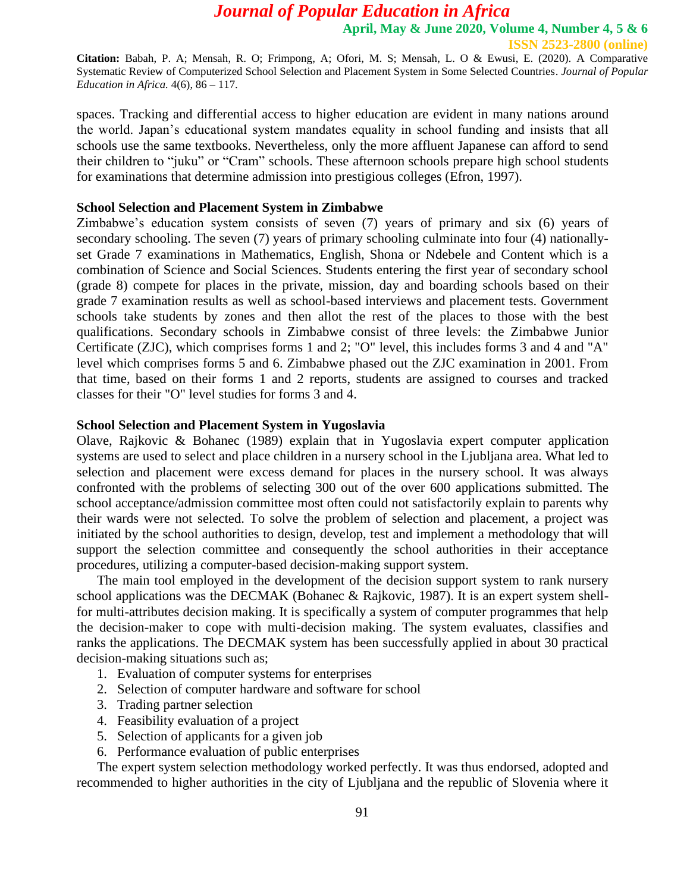**Citation:** Babah, P. A; Mensah, R. O; Frimpong, A; Ofori, M. S; Mensah, L. O & Ewusi, E. (2020). A Comparative Systematic Review of Computerized School Selection and Placement System in Some Selected Countries. *Journal of Popular Education in Africa.* 4(6), 86 – 117.

spaces. Tracking and differential access to higher education are evident in many nations around the world. Japan's educational system mandates equality in school funding and insists that all schools use the same textbooks. Nevertheless, only the more affluent Japanese can afford to send their children to "juku" or "Cram" schools. These afternoon schools prepare high school students for examinations that determine admission into prestigious colleges (Efron, 1997).

#### **School Selection and Placement System in Zimbabwe**

Zimbabwe's education system consists of seven (7) years of primary and six (6) years of secondary schooling. The seven (7) years of primary schooling culminate into four (4) nationallyset Grade 7 examinations in Mathematics, English, Shona or Ndebele and Content which is a combination of Science and Social Sciences. Students entering the first year of secondary school (grade 8) compete for places in the private, mission, day and boarding schools based on their grade 7 examination results as well as school-based interviews and placement tests. Government schools take students by zones and then allot the rest of the places to those with the best qualifications. Secondary schools in Zimbabwe consist of three levels: the Zimbabwe Junior Certificate (ZJC), which comprises forms 1 and 2; "O" level, this includes forms 3 and 4 and "A" level which comprises forms 5 and 6. Zimbabwe phased out the ZJC examination in 2001. From that time, based on their forms 1 and 2 reports, students are assigned to courses and tracked classes for their "O" level studies for forms 3 and 4.

#### **School Selection and Placement System in Yugoslavia**

Olave, Rajkovic & Bohanec (1989) explain that in Yugoslavia expert computer application systems are used to select and place children in a nursery school in the Ljubljana area. What led to selection and placement were excess demand for places in the nursery school. It was always confronted with the problems of selecting 300 out of the over 600 applications submitted. The school acceptance/admission committee most often could not satisfactorily explain to parents why their wards were not selected. To solve the problem of selection and placement, a project was initiated by the school authorities to design, develop, test and implement a methodology that will support the selection committee and consequently the school authorities in their acceptance procedures, utilizing a computer-based decision-making support system.

The main tool employed in the development of the decision support system to rank nursery school applications was the DECMAK (Bohanec & Rajkovic, 1987). It is an expert system shellfor multi-attributes decision making. It is specifically a system of computer programmes that help the decision-maker to cope with multi-decision making. The system evaluates, classifies and ranks the applications. The DECMAK system has been successfully applied in about 30 practical decision-making situations such as;

- 1. Evaluation of computer systems for enterprises
- 2. Selection of computer hardware and software for school
- 3. Trading partner selection
- 4. Feasibility evaluation of a project
- 5. Selection of applicants for a given job
- 6. Performance evaluation of public enterprises

The expert system selection methodology worked perfectly. It was thus endorsed, adopted and recommended to higher authorities in the city of Ljubljana and the republic of Slovenia where it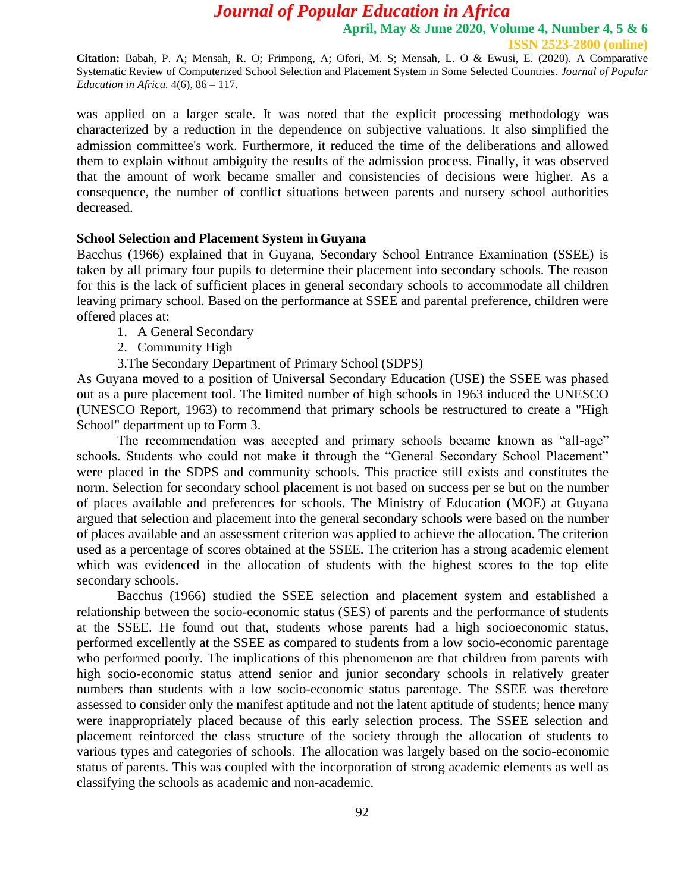**Citation:** Babah, P. A; Mensah, R. O; Frimpong, A; Ofori, M. S; Mensah, L. O & Ewusi, E. (2020). A Comparative Systematic Review of Computerized School Selection and Placement System in Some Selected Countries. *Journal of Popular Education in Africa.* 4(6), 86 – 117.

was applied on a larger scale. It was noted that the explicit processing methodology was characterized by a reduction in the dependence on subjective valuations. It also simplified the admission committee's work. Furthermore, it reduced the time of the deliberations and allowed them to explain without ambiguity the results of the admission process. Finally, it was observed that the amount of work became smaller and consistencies of decisions were higher. As a consequence, the number of conflict situations between parents and nursery school authorities decreased.

#### **School Selection and Placement System in Guyana**

Bacchus (1966) explained that in Guyana, Secondary School Entrance Examination (SSEE) is taken by all primary four pupils to determine their placement into secondary schools. The reason for this is the lack of sufficient places in general secondary schools to accommodate all children leaving primary school. Based on the performance at SSEE and parental preference, children were offered places at:

- 1. A General Secondary
- 2. Community High
- 3.The Secondary Department of Primary School (SDPS)

As Guyana moved to a position of Universal Secondary Education (USE) the SSEE was phased out as a pure placement tool. The limited number of high schools in 1963 induced the UNESCO (UNESCO Report, 1963) to recommend that primary schools be restructured to create a "High School" department up to Form 3.

The recommendation was accepted and primary schools became known as "all-age" schools. Students who could not make it through the "General Secondary School Placement" were placed in the SDPS and community schools. This practice still exists and constitutes the norm. Selection for secondary school placement is not based on success per se but on the number of places available and preferences for schools. The Ministry of Education (MOE) at Guyana argued that selection and placement into the general secondary schools were based on the number of places available and an assessment criterion was applied to achieve the allocation. The criterion used as a percentage of scores obtained at the SSEE. The criterion has a strong academic element which was evidenced in the allocation of students with the highest scores to the top elite secondary schools.

Bacchus (1966) studied the SSEE selection and placement system and established a relationship between the socio-economic status (SES) of parents and the performance of students at the SSEE. He found out that, students whose parents had a high socioeconomic status, performed excellently at the SSEE as compared to students from a low socio-economic parentage who performed poorly. The implications of this phenomenon are that children from parents with high socio-economic status attend senior and junior secondary schools in relatively greater numbers than students with a low socio-economic status parentage. The SSEE was therefore assessed to consider only the manifest aptitude and not the latent aptitude of students; hence many were inappropriately placed because of this early selection process. The SSEE selection and placement reinforced the class structure of the society through the allocation of students to various types and categories of schools. The allocation was largely based on the socio-economic status of parents. This was coupled with the incorporation of strong academic elements as well as classifying the schools as academic and non-academic.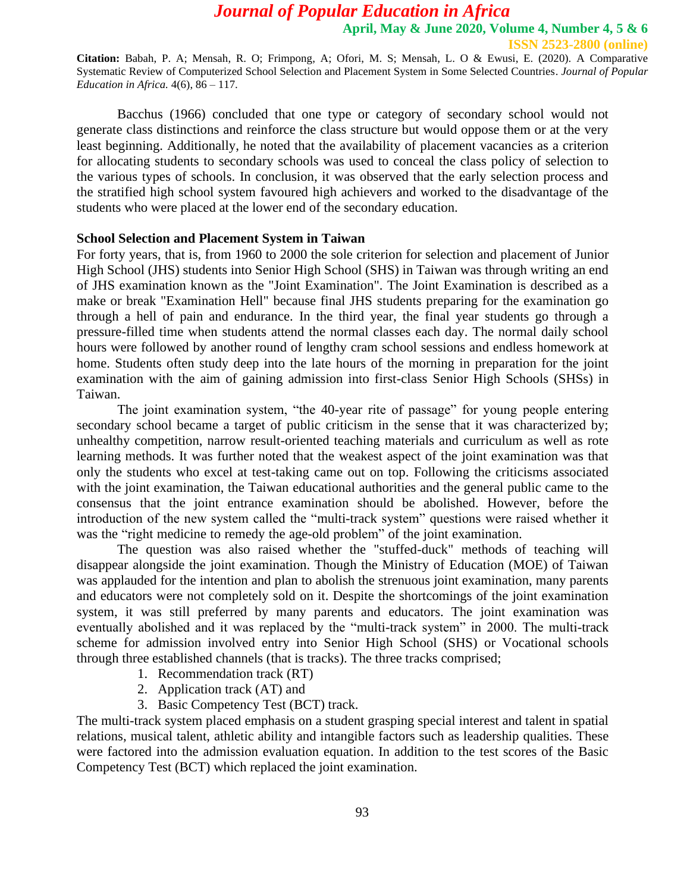**Citation:** Babah, P. A; Mensah, R. O; Frimpong, A; Ofori, M. S; Mensah, L. O & Ewusi, E. (2020). A Comparative Systematic Review of Computerized School Selection and Placement System in Some Selected Countries. *Journal of Popular Education in Africa.* 4(6), 86 – 117.

Bacchus (1966) concluded that one type or category of secondary school would not generate class distinctions and reinforce the class structure but would oppose them or at the very least beginning. Additionally, he noted that the availability of placement vacancies as a criterion for allocating students to secondary schools was used to conceal the class policy of selection to the various types of schools. In conclusion, it was observed that the early selection process and the stratified high school system favoured high achievers and worked to the disadvantage of the students who were placed at the lower end of the secondary education.

#### **School Selection and Placement System in Taiwan**

For forty years, that is, from 1960 to 2000 the sole criterion for selection and placement of Junior High School (JHS) students into Senior High School (SHS) in Taiwan was through writing an end of JHS examination known as the "Joint Examination". The Joint Examination is described as a make or break "Examination Hell" because final JHS students preparing for the examination go through a hell of pain and endurance. In the third year, the final year students go through a pressure-filled time when students attend the normal classes each day. The normal daily school hours were followed by another round of lengthy cram school sessions and endless homework at home. Students often study deep into the late hours of the morning in preparation for the joint examination with the aim of gaining admission into first-class Senior High Schools (SHSs) in Taiwan.

The joint examination system, "the 40-year rite of passage" for young people entering secondary school became a target of public criticism in the sense that it was characterized by; unhealthy competition, narrow result-oriented teaching materials and curriculum as well as rote learning methods. It was further noted that the weakest aspect of the joint examination was that only the students who excel at test-taking came out on top. Following the criticisms associated with the joint examination, the Taiwan educational authorities and the general public came to the consensus that the joint entrance examination should be abolished. However, before the introduction of the new system called the "multi-track system" questions were raised whether it was the "right medicine to remedy the age-old problem" of the joint examination.

The question was also raised whether the "stuffed-duck" methods of teaching will disappear alongside the joint examination. Though the Ministry of Education (MOE) of Taiwan was applauded for the intention and plan to abolish the strenuous joint examination, many parents and educators were not completely sold on it. Despite the shortcomings of the joint examination system, it was still preferred by many parents and educators. The joint examination was eventually abolished and it was replaced by the "multi-track system" in 2000. The multi-track scheme for admission involved entry into Senior High School (SHS) or Vocational schools through three established channels (that is tracks). The three tracks comprised;

- 1. Recommendation track (RT)
- 2. Application track (AT) and
- 3. Basic Competency Test (BCT) track.

The multi-track system placed emphasis on a student grasping special interest and talent in spatial relations, musical talent, athletic ability and intangible factors such as leadership qualities. These were factored into the admission evaluation equation. In addition to the test scores of the Basic Competency Test (BCT) which replaced the joint examination.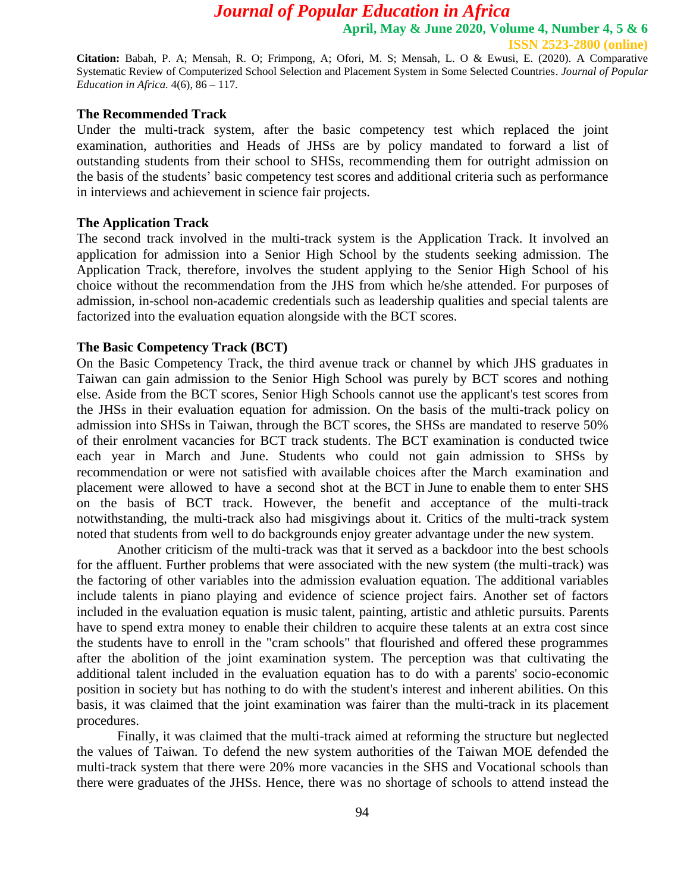**ISSN 2523-2800 (online)**

**Citation:** Babah, P. A; Mensah, R. O; Frimpong, A; Ofori, M. S; Mensah, L. O & Ewusi, E. (2020). A Comparative Systematic Review of Computerized School Selection and Placement System in Some Selected Countries. *Journal of Popular Education in Africa.* 4(6), 86 – 117.

#### **The Recommended Track**

Under the multi-track system, after the basic competency test which replaced the joint examination, authorities and Heads of JHSs are by policy mandated to forward a list of outstanding students from their school to SHSs, recommending them for outright admission on the basis of the students' basic competency test scores and additional criteria such as performance in interviews and achievement in science fair projects.

#### **The Application Track**

The second track involved in the multi-track system is the Application Track. It involved an application for admission into a Senior High School by the students seeking admission. The Application Track, therefore, involves the student applying to the Senior High School of his choice without the recommendation from the JHS from which he/she attended. For purposes of admission, in-school non-academic credentials such as leadership qualities and special talents are factorized into the evaluation equation alongside with the BCT scores.

#### **The Basic Competency Track (BCT)**

On the Basic Competency Track, the third avenue track or channel by which JHS graduates in Taiwan can gain admission to the Senior High School was purely by BCT scores and nothing else. Aside from the BCT scores, Senior High Schools cannot use the applicant's test scores from the JHSs in their evaluation equation for admission. On the basis of the multi-track policy on admission into SHSs in Taiwan, through the BCT scores, the SHSs are mandated to reserve 50% of their enrolment vacancies for BCT track students. The BCT examination is conducted twice each year in March and June. Students who could not gain admission to SHSs by recommendation or were not satisfied with available choices after the March examination and placement were allowed to have a second shot at the BCT in June to enable them to enter SHS on the basis of BCT track. However, the benefit and acceptance of the multi-track notwithstanding, the multi-track also had misgivings about it. Critics of the multi-track system noted that students from well to do backgrounds enjoy greater advantage under the new system.

Another criticism of the multi-track was that it served as a backdoor into the best schools for the affluent. Further problems that were associated with the new system (the multi-track) was the factoring of other variables into the admission evaluation equation. The additional variables include talents in piano playing and evidence of science project fairs. Another set of factors included in the evaluation equation is music talent, painting, artistic and athletic pursuits. Parents have to spend extra money to enable their children to acquire these talents at an extra cost since the students have to enroll in the "cram schools" that flourished and offered these programmes after the abolition of the joint examination system. The perception was that cultivating the additional talent included in the evaluation equation has to do with a parents' socio-economic position in society but has nothing to do with the student's interest and inherent abilities. On this basis, it was claimed that the joint examination was fairer than the multi-track in its placement procedures.

Finally, it was claimed that the multi-track aimed at reforming the structure but neglected the values of Taiwan. To defend the new system authorities of the Taiwan MOE defended the multi-track system that there were 20% more vacancies in the SHS and Vocational schools than there were graduates of the JHSs. Hence, there was no shortage of schools to attend instead the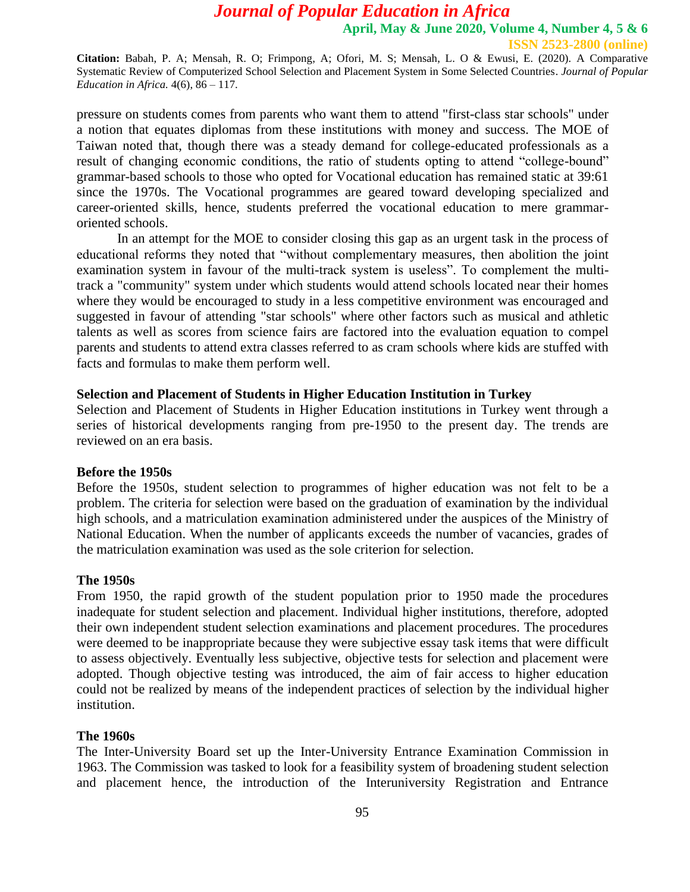**Citation:** Babah, P. A; Mensah, R. O; Frimpong, A; Ofori, M. S; Mensah, L. O & Ewusi, E. (2020). A Comparative Systematic Review of Computerized School Selection and Placement System in Some Selected Countries. *Journal of Popular Education in Africa.* 4(6), 86 – 117.

pressure on students comes from parents who want them to attend "first-class star schools" under a notion that equates diplomas from these institutions with money and success. The MOE of Taiwan noted that, though there was a steady demand for college-educated professionals as a result of changing economic conditions, the ratio of students opting to attend "college-bound" grammar-based schools to those who opted for Vocational education has remained static at 39:61 since the 1970s. The Vocational programmes are geared toward developing specialized and career-oriented skills, hence, students preferred the vocational education to mere grammaroriented schools.

In an attempt for the MOE to consider closing this gap as an urgent task in the process of educational reforms they noted that "without complementary measures, then abolition the joint examination system in favour of the multi-track system is useless". To complement the multitrack a "community" system under which students would attend schools located near their homes where they would be encouraged to study in a less competitive environment was encouraged and suggested in favour of attending "star schools" where other factors such as musical and athletic talents as well as scores from science fairs are factored into the evaluation equation to compel parents and students to attend extra classes referred to as cram schools where kids are stuffed with facts and formulas to make them perform well.

#### **Selection and Placement of Students in Higher Education Institution in Turkey**

Selection and Placement of Students in Higher Education institutions in Turkey went through a series of historical developments ranging from pre-1950 to the present day. The trends are reviewed on an era basis.

### **Before the 1950s**

Before the 1950s, student selection to programmes of higher education was not felt to be a problem. The criteria for selection were based on the graduation of examination by the individual high schools, and a matriculation examination administered under the auspices of the Ministry of National Education. When the number of applicants exceeds the number of vacancies, grades of the matriculation examination was used as the sole criterion for selection.

#### **The 1950s**

From 1950, the rapid growth of the student population prior to 1950 made the procedures inadequate for student selection and placement. Individual higher institutions, therefore, adopted their own independent student selection examinations and placement procedures. The procedures were deemed to be inappropriate because they were subjective essay task items that were difficult to assess objectively. Eventually less subjective, objective tests for selection and placement were adopted. Though objective testing was introduced, the aim of fair access to higher education could not be realized by means of the independent practices of selection by the individual higher institution.

#### **The 1960s**

The Inter-University Board set up the Inter-University Entrance Examination Commission in 1963. The Commission was tasked to look for a feasibility system of broadening student selection and placement hence, the introduction of the Interuniversity Registration and Entrance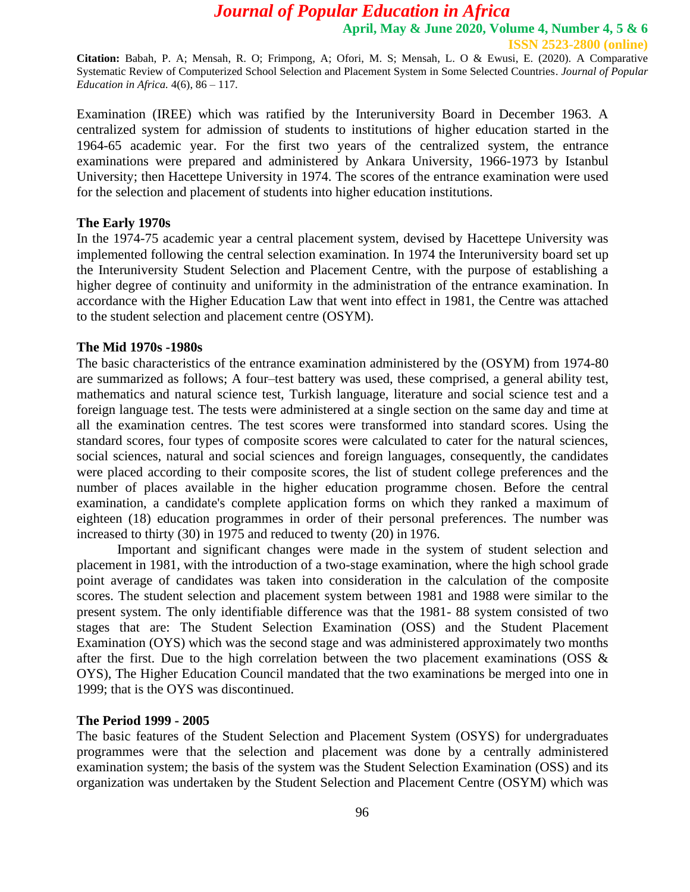**Citation:** Babah, P. A; Mensah, R. O; Frimpong, A; Ofori, M. S; Mensah, L. O & Ewusi, E. (2020). A Comparative Systematic Review of Computerized School Selection and Placement System in Some Selected Countries. *Journal of Popular Education in Africa.* 4(6), 86 – 117.

Examination (IREE) which was ratified by the Interuniversity Board in December 1963. A centralized system for admission of students to institutions of higher education started in the 1964-65 academic year. For the first two years of the centralized system, the entrance examinations were prepared and administered by Ankara University, 1966-1973 by Istanbul University; then Hacettepe University in 1974. The scores of the entrance examination were used for the selection and placement of students into higher education institutions.

#### **The Early 1970s**

In the 1974-75 academic year a central placement system, devised by Hacettepe University was implemented following the central selection examination. In 1974 the Interuniversity board set up the Interuniversity Student Selection and Placement Centre, with the purpose of establishing a higher degree of continuity and uniformity in the administration of the entrance examination. In accordance with the Higher Education Law that went into effect in 1981, the Centre was attached to the student selection and placement centre (OSYM).

#### **The Mid 1970s -1980s**

The basic characteristics of the entrance examination administered by the (OSYM) from 1974-80 are summarized as follows; A four–test battery was used, these comprised, a general ability test, mathematics and natural science test, Turkish language, literature and social science test and a foreign language test. The tests were administered at a single section on the same day and time at all the examination centres. The test scores were transformed into standard scores. Using the standard scores, four types of composite scores were calculated to cater for the natural sciences, social sciences, natural and social sciences and foreign languages, consequently, the candidates were placed according to their composite scores, the list of student college preferences and the number of places available in the higher education programme chosen. Before the central examination, a candidate's complete application forms on which they ranked a maximum of eighteen (18) education programmes in order of their personal preferences. The number was increased to thirty (30) in 1975 and reduced to twenty (20) in 1976.

Important and significant changes were made in the system of student selection and placement in 1981, with the introduction of a two-stage examination, where the high school grade point average of candidates was taken into consideration in the calculation of the composite scores. The student selection and placement system between 1981 and 1988 were similar to the present system. The only identifiable difference was that the 1981- 88 system consisted of two stages that are: The Student Selection Examination (OSS) and the Student Placement Examination (OYS) which was the second stage and was administered approximately two months after the first. Due to the high correlation between the two placement examinations (OSS & OYS), The Higher Education Council mandated that the two examinations be merged into one in 1999; that is the OYS was discontinued.

#### **The Period 1999 - 2005**

The basic features of the Student Selection and Placement System (OSYS) for undergraduates programmes were that the selection and placement was done by a centrally administered examination system; the basis of the system was the Student Selection Examination (OSS) and its organization was undertaken by the Student Selection and Placement Centre (OSYM) which was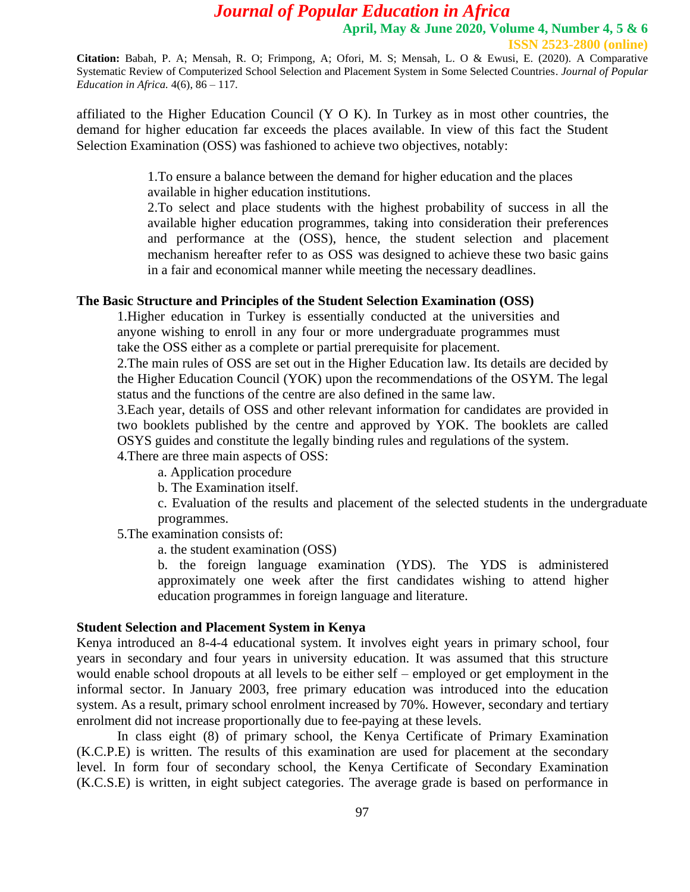**Citation:** Babah, P. A; Mensah, R. O; Frimpong, A; Ofori, M. S; Mensah, L. O & Ewusi, E. (2020). A Comparative Systematic Review of Computerized School Selection and Placement System in Some Selected Countries. *Journal of Popular Education in Africa.* 4(6), 86 – 117.

affiliated to the Higher Education Council  $(Y \cup K)$ . In Turkey as in most other countries, the demand for higher education far exceeds the places available. In view of this fact the Student Selection Examination (OSS) was fashioned to achieve two objectives, notably:

> 1.To ensure a balance between the demand for higher education and the places available in higher education institutions.

2.To select and place students with the highest probability of success in all the available higher education programmes, taking into consideration their preferences and performance at the (OSS), hence, the student selection and placement mechanism hereafter refer to as OSS was designed to achieve these two basic gains in a fair and economical manner while meeting the necessary deadlines.

### **The Basic Structure and Principles of the Student Selection Examination (OSS)**

1.Higher education in Turkey is essentially conducted at the universities and anyone wishing to enroll in any four or more undergraduate programmes must take the OSS either as a complete or partial prerequisite for placement.

2.The main rules of OSS are set out in the Higher Education law. Its details are decided by the Higher Education Council (YOK) upon the recommendations of the OSYM. The legal status and the functions of the centre are also defined in the same law.

3.Each year, details of OSS and other relevant information for candidates are provided in two booklets published by the centre and approved by YOK. The booklets are called OSYS guides and constitute the legally binding rules and regulations of the system.

4.There are three main aspects of OSS:

a. Application procedure

b. The Examination itself.

c. Evaluation of the results and placement of the selected students in the undergraduate programmes.

5.The examination consists of:

a. the student examination (OSS)

b. the foreign language examination (YDS). The YDS is administered approximately one week after the first candidates wishing to attend higher education programmes in foreign language and literature.

#### **Student Selection and Placement System in Kenya**

Kenya introduced an 8-4-4 educational system. It involves eight years in primary school, four years in secondary and four years in university education. It was assumed that this structure would enable school dropouts at all levels to be either self – employed or get employment in the informal sector. In January 2003, free primary education was introduced into the education system. As a result, primary school enrolment increased by 70%. However, secondary and tertiary enrolment did not increase proportionally due to fee-paying at these levels.

In class eight (8) of primary school, the Kenya Certificate of Primary Examination (K.C.P.E) is written. The results of this examination are used for placement at the secondary level. In form four of secondary school, the Kenya Certificate of Secondary Examination (K.C.S.E) is written, in eight subject categories. The average grade is based on performance in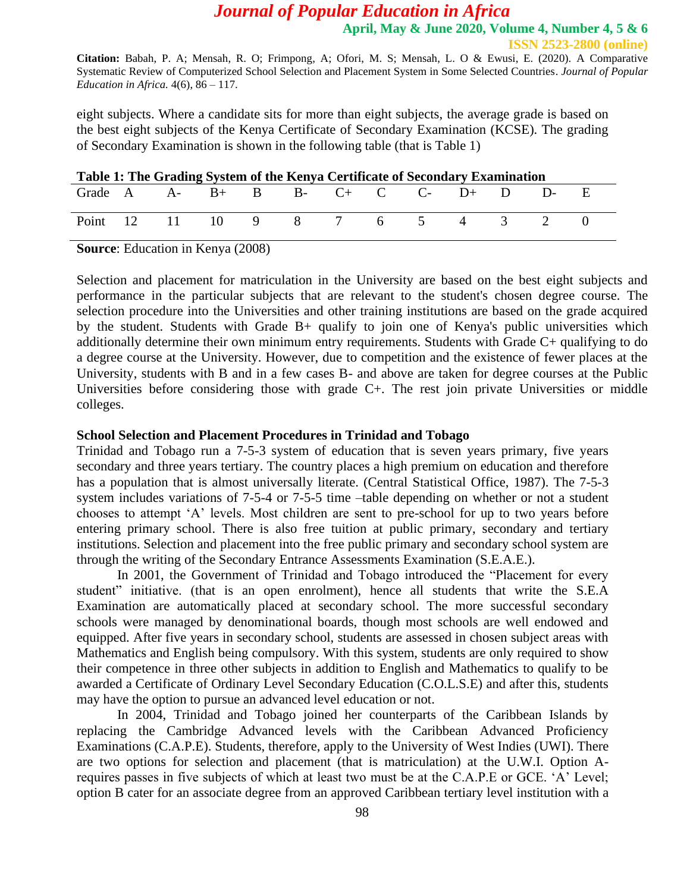**Citation:** Babah, P. A; Mensah, R. O; Frimpong, A; Ofori, M. S; Mensah, L. O & Ewusi, E. (2020). A Comparative Systematic Review of Computerized School Selection and Placement System in Some Selected Countries. *Journal of Popular Education in Africa.* 4(6), 86 – 117.

eight subjects. Where a candidate sits for more than eight subjects, the average grade is based on the best eight subjects of the Kenya Certificate of Secondary Examination (KCSE). The grading of Secondary Examination is shown in the following table (that is Table 1)

| Table 1: The Grading System of the Kenya Certificate of Secondary Examination |  |  |  |  |  |  |  |  |  |  |
|-------------------------------------------------------------------------------|--|--|--|--|--|--|--|--|--|--|
| Grade A $A - B + B$ B $B - C + C$ C $D + D$ D                                 |  |  |  |  |  |  |  |  |  |  |
| Point 12 11 10 9 8 7 6 5 4 3 2 0                                              |  |  |  |  |  |  |  |  |  |  |

**Source**: Education in Kenya (2008)

Selection and placement for matriculation in the University are based on the best eight subjects and performance in the particular subjects that are relevant to the student's chosen degree course. The selection procedure into the Universities and other training institutions are based on the grade acquired by the student. Students with Grade B+ qualify to join one of Kenya's public universities which additionally determine their own minimum entry requirements. Students with Grade C+ qualifying to do a degree course at the University. However, due to competition and the existence of fewer places at the University, students with B and in a few cases B- and above are taken for degree courses at the Public Universities before considering those with grade C+. The rest join private Universities or middle colleges.

#### **School Selection and Placement Procedures in Trinidad and Tobago**

Trinidad and Tobago run a 7-5-3 system of education that is seven years primary, five years secondary and three years tertiary. The country places a high premium on education and therefore has a population that is almost universally literate. (Central Statistical Office, 1987). The 7-5-3 system includes variations of 7-5-4 or 7-5-5 time –table depending on whether or not a student chooses to attempt 'A' levels. Most children are sent to pre-school for up to two years before entering primary school. There is also free tuition at public primary, secondary and tertiary institutions. Selection and placement into the free public primary and secondary school system are through the writing of the Secondary Entrance Assessments Examination (S.E.A.E.).

In 2001, the Government of Trinidad and Tobago introduced the "Placement for every student" initiative. (that is an open enrolment), hence all students that write the S.E.A Examination are automatically placed at secondary school. The more successful secondary schools were managed by denominational boards, though most schools are well endowed and equipped. After five years in secondary school, students are assessed in chosen subject areas with Mathematics and English being compulsory. With this system, students are only required to show their competence in three other subjects in addition to English and Mathematics to qualify to be awarded a Certificate of Ordinary Level Secondary Education (C.O.L.S.E) and after this, students may have the option to pursue an advanced level education or not.

In 2004, Trinidad and Tobago joined her counterparts of the Caribbean Islands by replacing the Cambridge Advanced levels with the Caribbean Advanced Proficiency Examinations (C.A.P.E). Students, therefore, apply to the University of West Indies (UWI). There are two options for selection and placement (that is matriculation) at the U.W.I. Option Arequires passes in five subjects of which at least two must be at the C.A.P.E or GCE. 'A' Level; option B cater for an associate degree from an approved Caribbean tertiary level institution with a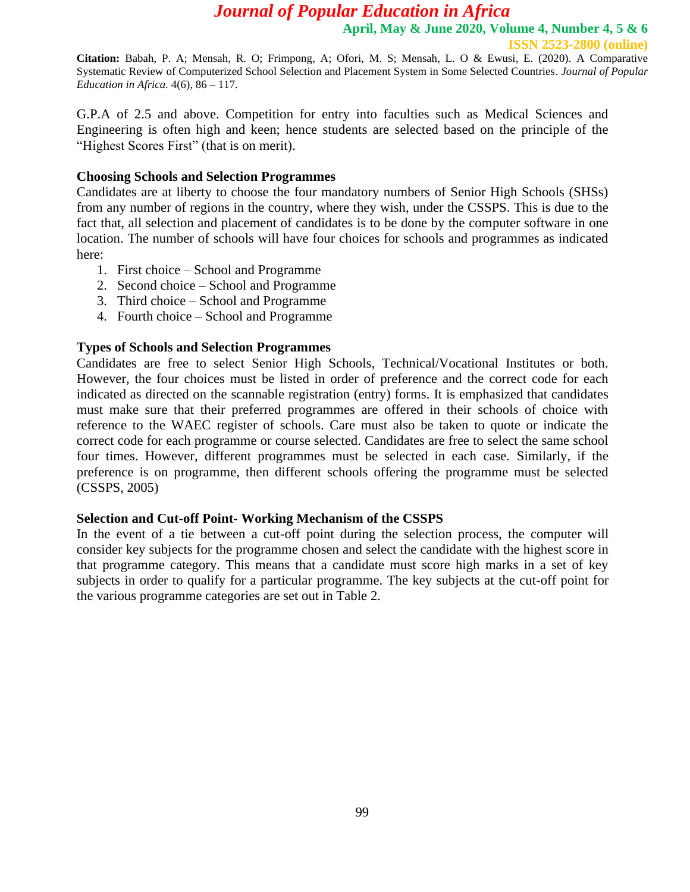**ISSN 2523-2800 (online)**

**Citation:** Babah, P. A; Mensah, R. O; Frimpong, A; Ofori, M. S; Mensah, L. O & Ewusi, E. (2020). A Comparative Systematic Review of Computerized School Selection and Placement System in Some Selected Countries. *Journal of Popular Education in Africa.* 4(6), 86 – 117.

G.P.A of 2.5 and above. Competition for entry into faculties such as Medical Sciences and Engineering is often high and keen; hence students are selected based on the principle of the "Highest Scores First" (that is on merit).

## **Choosing Schools and Selection Programmes**

Candidates are at liberty to choose the four mandatory numbers of Senior High Schools (SHSs) from any number of regions in the country, where they wish, under the CSSPS. This is due to the fact that, all selection and placement of candidates is to be done by the computer software in one location. The number of schools will have four choices for schools and programmes as indicated here:

- 1. First choice School and Programme
- 2. Second choice School and Programme
- 3. Third choice School and Programme
- 4. Fourth choice School and Programme

## **Types of Schools and Selection Programmes**

Candidates are free to select Senior High Schools, Technical/Vocational Institutes or both. However, the four choices must be listed in order of preference and the correct code for each indicated as directed on the scannable registration (entry) forms. It is emphasized that candidates must make sure that their preferred programmes are offered in their schools of choice with reference to the WAEC register of schools. Care must also be taken to quote or indicate the correct code for each programme or course selected. Candidates are free to select the same school four times. However, different programmes must be selected in each case. Similarly, if the preference is on programme, then different schools offering the programme must be selected (CSSPS, 2005)

## **Selection and Cut-off Point- Working Mechanism of the CSSPS**

In the event of a tie between a cut-off point during the selection process, the computer will consider key subjects for the programme chosen and select the candidate with the highest score in that programme category. This means that a candidate must score high marks in a set of key subjects in order to qualify for a particular programme. The key subjects at the cut-off point for the various programme categories are set out in Table 2.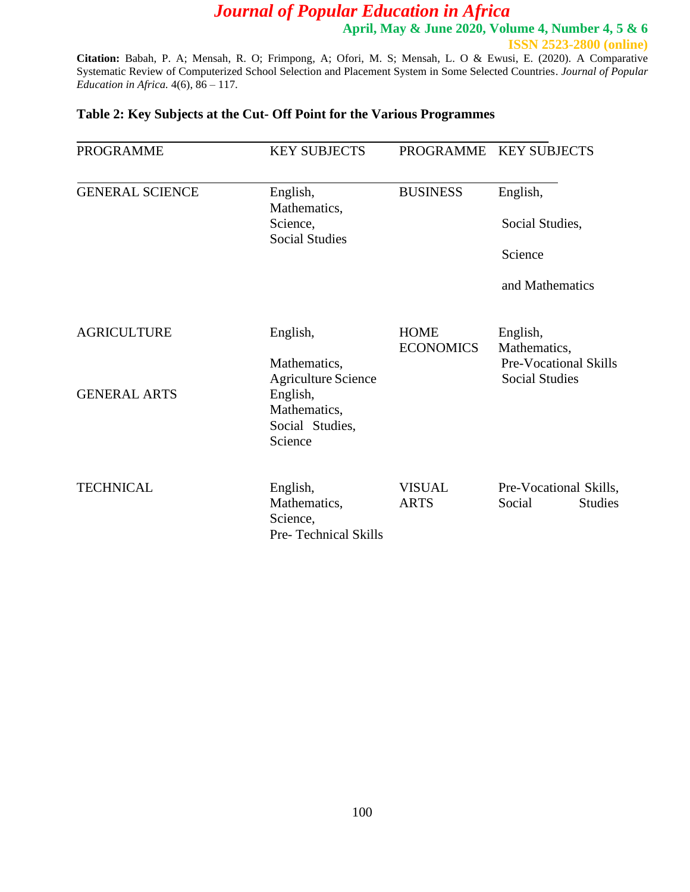**April, May & June 2020, Volume 4, Number 4, 5 & 6 ISSN 2523-2800 (online)**

**Citation:** Babah, P. A; Mensah, R. O; Frimpong, A; Ofori, M. S; Mensah, L. O & Ewusi, E. (2020). A Comparative Systematic Review of Computerized School Selection and Placement System in Some Selected Countries. *Journal of Popular Education in Africa.* 4(6), 86 – 117.

## **Table 2: Key Subjects at the Cut- Off Point for the Various Programmes**

| <b>PROGRAMME</b>                          | <b>KEY SUBJECTS</b>                                                                                              |                                                                                                               | PROGRAMME KEY SUBJECTS                             |  |
|-------------------------------------------|------------------------------------------------------------------------------------------------------------------|---------------------------------------------------------------------------------------------------------------|----------------------------------------------------|--|
| <b>GENERAL SCIENCE</b>                    | English,<br>Mathematics,<br>Science,<br><b>Social Studies</b>                                                    | <b>BUSINESS</b>                                                                                               | English,<br>Social Studies,                        |  |
|                                           |                                                                                                                  |                                                                                                               | Science<br>and Mathematics                         |  |
| <b>AGRICULTURE</b><br><b>GENERAL ARTS</b> | English,<br>Mathematics,<br><b>Agriculture Science</b><br>English,<br>Mathematics,<br>Social Studies,<br>Science | <b>HOME</b><br>English,<br><b>ECONOMICS</b><br>Mathematics,<br>Pre-Vocational Skills<br><b>Social Studies</b> |                                                    |  |
| <b>TECHNICAL</b>                          | English,<br>Mathematics,<br>Science,<br>Pre-Technical Skills                                                     | <b>VISUAL</b><br><b>ARTS</b>                                                                                  | Pre-Vocational Skills,<br>Social<br><b>Studies</b> |  |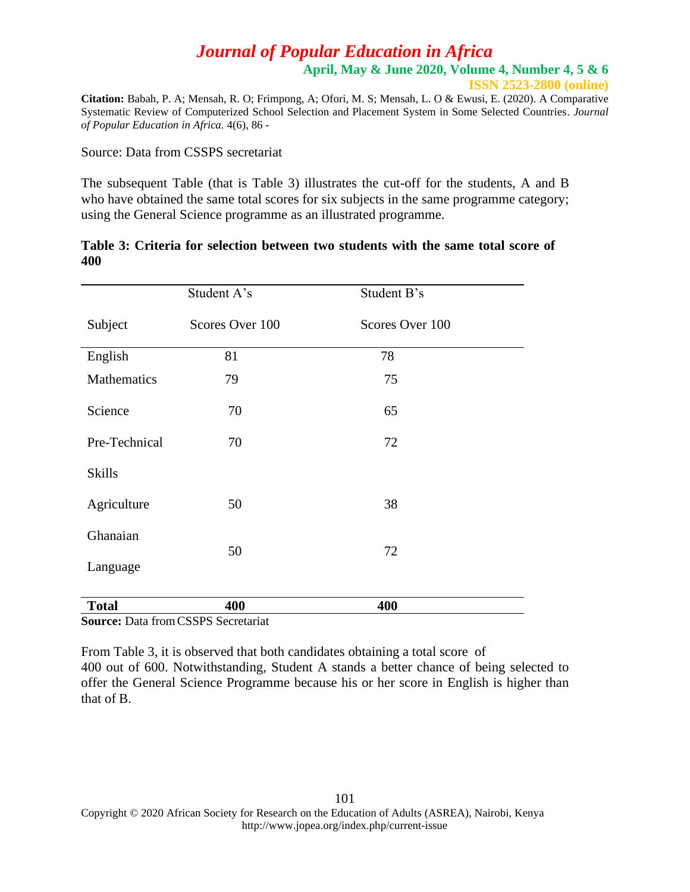**ISSN 2523-2800 (online)**

**Citation:** Babah, P. A; Mensah, R. O; Frimpong, A; Ofori, M. S; Mensah, L. O & Ewusi, E. (2020). A Comparative Systematic Review of Computerized School Selection and Placement System in Some Selected Countries. *Journal of Popular Education in Africa.* 4(6), 86 -

Source: Data from CSSPS secretariat

The subsequent Table (that is Table 3) illustrates the cut-off for the students, A and B who have obtained the same total scores for six subjects in the same programme category; using the General Science programme as an illustrated programme.

### **Table 3: Criteria for selection between two students with the same total score of 400**

|               | Student A's     | Student B's     |  |
|---------------|-----------------|-----------------|--|
| Subject       | Scores Over 100 | Scores Over 100 |  |
| English       | 81              | 78              |  |
| Mathematics   | 79              | 75              |  |
| Science       | 70              | 65              |  |
| Pre-Technical | 70              | 72              |  |
| <b>Skills</b> |                 |                 |  |
| Agriculture   | 50              | 38              |  |
| Ghanaian      |                 |                 |  |
| Language      | 50              | 72              |  |
| <b>Total</b>  | 400             | 400             |  |

**Source:** Data fromCSSPS Secretariat

From Table 3, it is observed that both candidates obtaining a total score of 400 out of 600. Notwithstanding, Student A stands a better chance of being selected to offer the General Science Programme because his or her score in English is higher than that of B.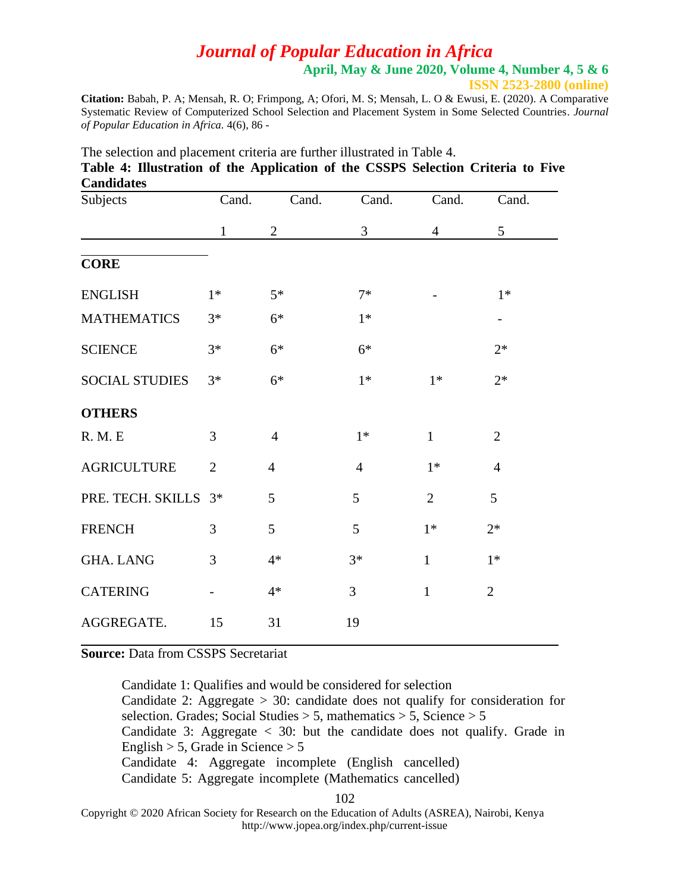**April, May & June 2020, Volume 4, Number 4, 5 & 6**

**ISSN 2523-2800 (online)**

**Citation:** Babah, P. A; Mensah, R. O; Frimpong, A; Ofori, M. S; Mensah, L. O & Ewusi, E. (2020). A Comparative Systematic Review of Computerized School Selection and Placement System in Some Selected Countries. *Journal of Popular Education in Africa.* 4(6), 86 -

| Candidates            |                |                |                |                |                   |
|-----------------------|----------------|----------------|----------------|----------------|-------------------|
| Subjects              | Cand.          | Cand.          | Cand.          | Cand.          | Cand.             |
|                       | $\mathbf{1}$   | $\mathfrak{2}$ | 3              | $\overline{4}$ | 5                 |
| <b>CORE</b>           |                |                |                |                |                   |
| <b>ENGLISH</b>        | $1*$           | $5*$           | $7*$           |                | $1*$              |
| <b>MATHEMATICS</b>    | $3*$           | $6*$           | $1*$           |                | $\qquad \qquad -$ |
| <b>SCIENCE</b>        | $3*$           | $6*$           | $6*$           |                | $2*$              |
| <b>SOCIAL STUDIES</b> | $3*$           | $6*$           | $1*$           | $1*$           | $2*$              |
| <b>OTHERS</b>         |                |                |                |                |                   |
| <b>R. M. E</b>        | 3              | $\overline{4}$ | $1*$           | $\mathbf{1}$   | $\overline{2}$    |
| <b>AGRICULTURE</b>    | $\overline{2}$ | $\overline{4}$ | $\overline{4}$ | $1*$           | $\overline{4}$    |
| PRE. TECH. SKILLS     | $3*$           | 5              | 5              | $\overline{2}$ | 5                 |
| <b>FRENCH</b>         | 3              | 5              | 5              | $1*$           | $2*$              |
| <b>GHA. LANG</b>      | 3              | $4*$           | $3*$           | $\mathbf{1}$   | $1*$              |
| <b>CATERING</b>       |                | $4*$           | 3              | $\mathbf{1}$   | $\overline{2}$    |
| AGGREGATE.            | 15             | 31             | 19             |                |                   |

The selection and placement criteria are further illustrated in Table 4. **Table 4: Illustration of the Application of the CSSPS Selection Criteria to Five Candidates**

**Source:** Data from CSSPS Secretariat

Candidate 1: Qualifies and would be considered for selection Candidate 2: Aggregate  $> 30$ : candidate does not qualify for consideration for selection. Grades; Social Studies  $> 5$ , mathematics  $> 5$ , Science  $> 5$ Candidate 3: Aggregate  $\langle$  30: but the candidate does not qualify. Grade in English  $> 5$ , Grade in Science  $> 5$ Candidate 4: Aggregate incomplete (English cancelled) Candidate 5: Aggregate incomplete (Mathematics cancelled)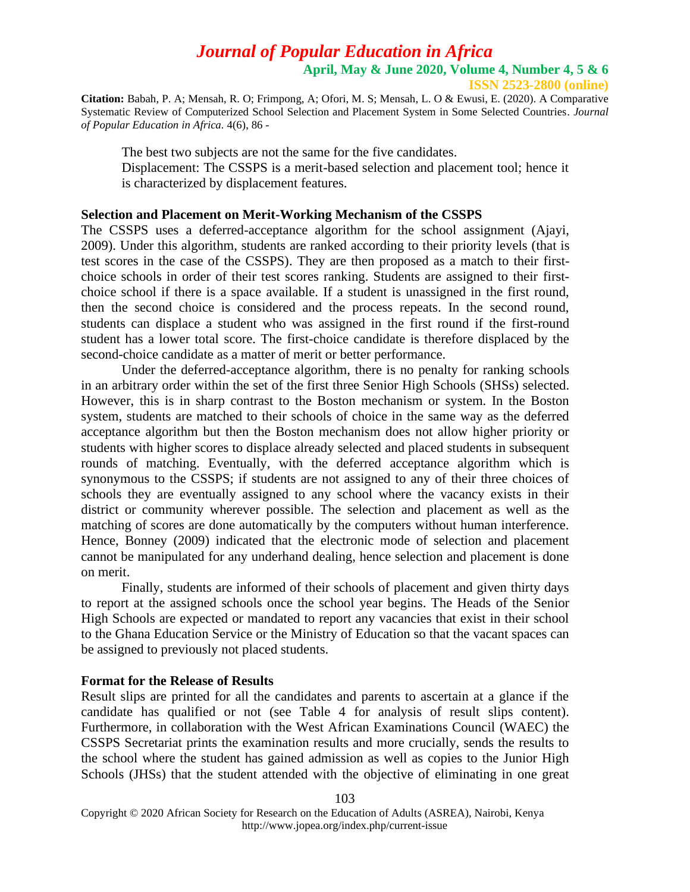**ISSN 2523-2800 (online)**

**Citation:** Babah, P. A; Mensah, R. O; Frimpong, A; Ofori, M. S; Mensah, L. O & Ewusi, E. (2020). A Comparative Systematic Review of Computerized School Selection and Placement System in Some Selected Countries. *Journal of Popular Education in Africa.* 4(6), 86 -

The best two subjects are not the same for the five candidates. Displacement: The CSSPS is a merit-based selection and placement tool; hence it is characterized by displacement features.

### **Selection and Placement on Merit-Working Mechanism of the CSSPS**

The CSSPS uses a deferred-acceptance algorithm for the school assignment (Ajayi, 2009). Under this algorithm, students are ranked according to their priority levels (that is test scores in the case of the CSSPS). They are then proposed as a match to their firstchoice schools in order of their test scores ranking. Students are assigned to their firstchoice school if there is a space available. If a student is unassigned in the first round, then the second choice is considered and the process repeats. In the second round, students can displace a student who was assigned in the first round if the first-round student has a lower total score. The first-choice candidate is therefore displaced by the second-choice candidate as a matter of merit or better performance.

Under the deferred-acceptance algorithm, there is no penalty for ranking schools in an arbitrary order within the set of the first three Senior High Schools (SHSs) selected. However, this is in sharp contrast to the Boston mechanism or system. In the Boston system, students are matched to their schools of choice in the same way as the deferred acceptance algorithm but then the Boston mechanism does not allow higher priority or students with higher scores to displace already selected and placed students in subsequent rounds of matching. Eventually, with the deferred acceptance algorithm which is synonymous to the CSSPS; if students are not assigned to any of their three choices of schools they are eventually assigned to any school where the vacancy exists in their district or community wherever possible. The selection and placement as well as the matching of scores are done automatically by the computers without human interference. Hence, Bonney (2009) indicated that the electronic mode of selection and placement cannot be manipulated for any underhand dealing, hence selection and placement is done on merit.

Finally, students are informed of their schools of placement and given thirty days to report at the assigned schools once the school year begins. The Heads of the Senior High Schools are expected or mandated to report any vacancies that exist in their school to the Ghana Education Service or the Ministry of Education so that the vacant spaces can be assigned to previously not placed students.

#### **Format for the Release of Results**

Result slips are printed for all the candidates and parents to ascertain at a glance if the candidate has qualified or not (see Table 4 for analysis of result slips content). Furthermore, in collaboration with the West African Examinations Council (WAEC) the CSSPS Secretariat prints the examination results and more crucially, sends the results to the school where the student has gained admission as well as copies to the Junior High Schools (JHSs) that the student attended with the objective of eliminating in one great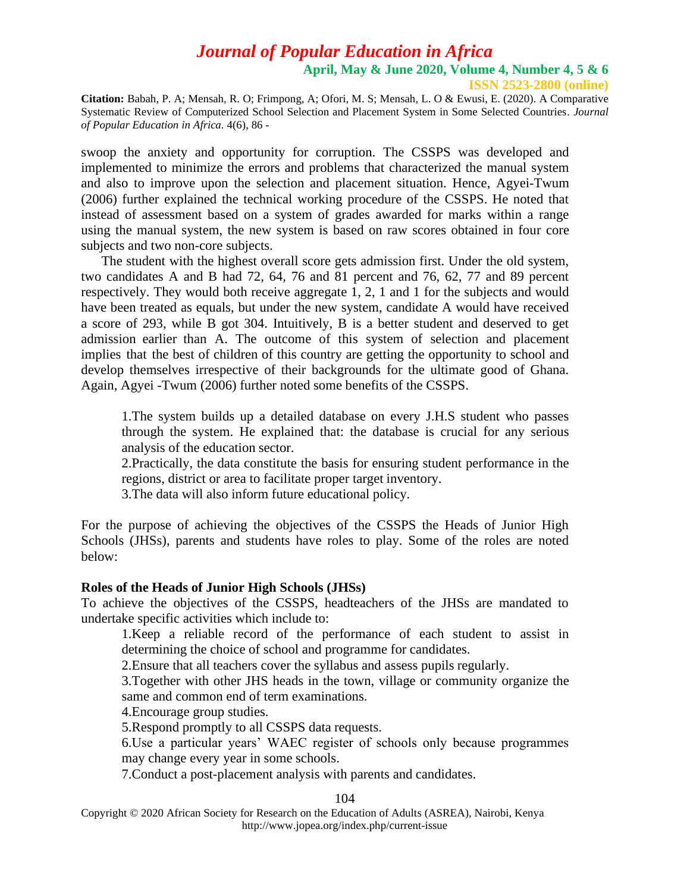**ISSN 2523-2800 (online)**

**Citation:** Babah, P. A; Mensah, R. O; Frimpong, A; Ofori, M. S; Mensah, L. O & Ewusi, E. (2020). A Comparative Systematic Review of Computerized School Selection and Placement System in Some Selected Countries. *Journal of Popular Education in Africa.* 4(6), 86 -

swoop the anxiety and opportunity for corruption. The CSSPS was developed and implemented to minimize the errors and problems that characterized the manual system and also to improve upon the selection and placement situation. Hence, Agyei-Twum (2006) further explained the technical working procedure of the CSSPS. He noted that instead of assessment based on a system of grades awarded for marks within a range using the manual system, the new system is based on raw scores obtained in four core subjects and two non-core subjects.

The student with the highest overall score gets admission first. Under the old system, two candidates A and B had 72, 64, 76 and 81 percent and 76, 62, 77 and 89 percent respectively. They would both receive aggregate 1, 2, 1 and 1 for the subjects and would have been treated as equals, but under the new system, candidate A would have received a score of 293, while B got 304. Intuitively, B is a better student and deserved to get admission earlier than A. The outcome of this system of selection and placement implies that the best of children of this country are getting the opportunity to school and develop themselves irrespective of their backgrounds for the ultimate good of Ghana. Again, Agyei -Twum (2006) further noted some benefits of the CSSPS.

1.The system builds up a detailed database on every J.H.S student who passes through the system. He explained that: the database is crucial for any serious analysis of the education sector.

2.Practically, the data constitute the basis for ensuring student performance in the regions, district or area to facilitate proper target inventory.

3.The data will also inform future educational policy.

For the purpose of achieving the objectives of the CSSPS the Heads of Junior High Schools (JHSs), parents and students have roles to play. Some of the roles are noted below:

#### **Roles of the Heads of Junior High Schools (JHSs)**

To achieve the objectives of the CSSPS, headteachers of the JHSs are mandated to undertake specific activities which include to:

1.Keep a reliable record of the performance of each student to assist in determining the choice of school and programme for candidates.

2.Ensure that all teachers cover the syllabus and assess pupils regularly.

3.Together with other JHS heads in the town, village or community organize the same and common end of term examinations.

4.Encourage group studies.

5.Respond promptly to all CSSPS data requests.

6.Use a particular years' WAEC register of schools only because programmes may change every year in some schools.

7.Conduct a post-placement analysis with parents and candidates.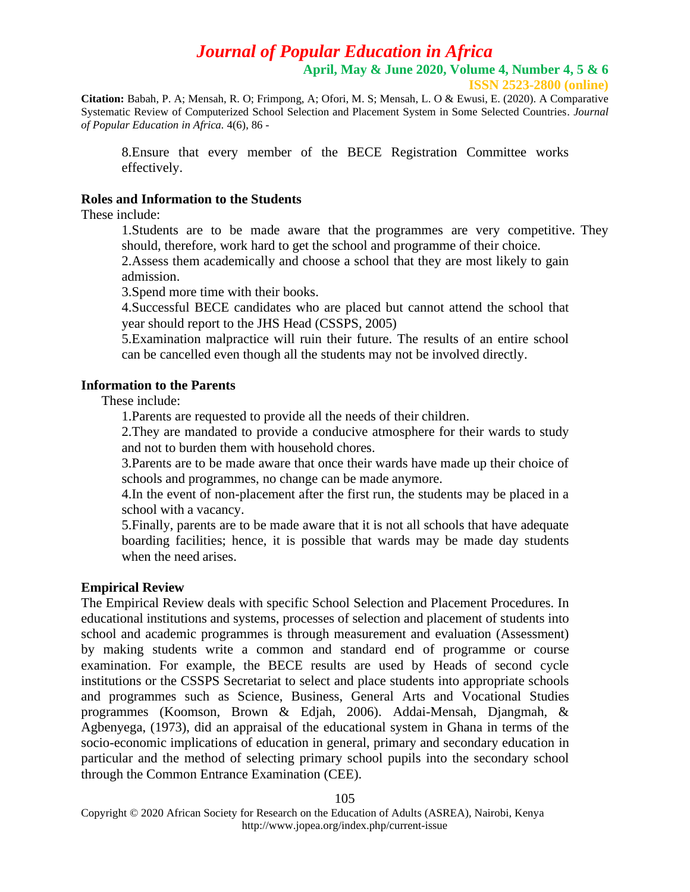**April, May & June 2020, Volume 4, Number 4, 5 & 6**

**ISSN 2523-2800 (online)**

**Citation:** Babah, P. A; Mensah, R. O; Frimpong, A; Ofori, M. S; Mensah, L. O & Ewusi, E. (2020). A Comparative Systematic Review of Computerized School Selection and Placement System in Some Selected Countries. *Journal of Popular Education in Africa.* 4(6), 86 -

8.Ensure that every member of the BECE Registration Committee works effectively.

## **Roles and Information to the Students**

These include:

1.Students are to be made aware that the programmes are very competitive. They should, therefore, work hard to get the school and programme of their choice.

2.Assess them academically and choose a school that they are most likely to gain admission.

3.Spend more time with their books.

4.Successful BECE candidates who are placed but cannot attend the school that year should report to the JHS Head (CSSPS, 2005)

5.Examination malpractice will ruin their future. The results of an entire school can be cancelled even though all the students may not be involved directly.

## **Information to the Parents**

These include:

1.Parents are requested to provide all the needs of their children.

2.They are mandated to provide a conducive atmosphere for their wards to study and not to burden them with household chores.

3.Parents are to be made aware that once their wards have made up their choice of schools and programmes, no change can be made anymore.

4.In the event of non-placement after the first run, the students may be placed in a school with a vacancy.

5.Finally, parents are to be made aware that it is not all schools that have adequate boarding facilities; hence, it is possible that wards may be made day students when the need arises.

## **Empirical Review**

The Empirical Review deals with specific School Selection and Placement Procedures. In educational institutions and systems, processes of selection and placement of students into school and academic programmes is through measurement and evaluation (Assessment) by making students write a common and standard end of programme or course examination. For example, the BECE results are used by Heads of second cycle institutions or the CSSPS Secretariat to select and place students into appropriate schools and programmes such as Science, Business, General Arts and Vocational Studies programmes (Koomson, Brown & Edjah, 2006). Addai-Mensah, Djangmah, & Agbenyega, (1973), did an appraisal of the educational system in Ghana in terms of the socio-economic implications of education in general, primary and secondary education in particular and the method of selecting primary school pupils into the secondary school through the Common Entrance Examination (CEE).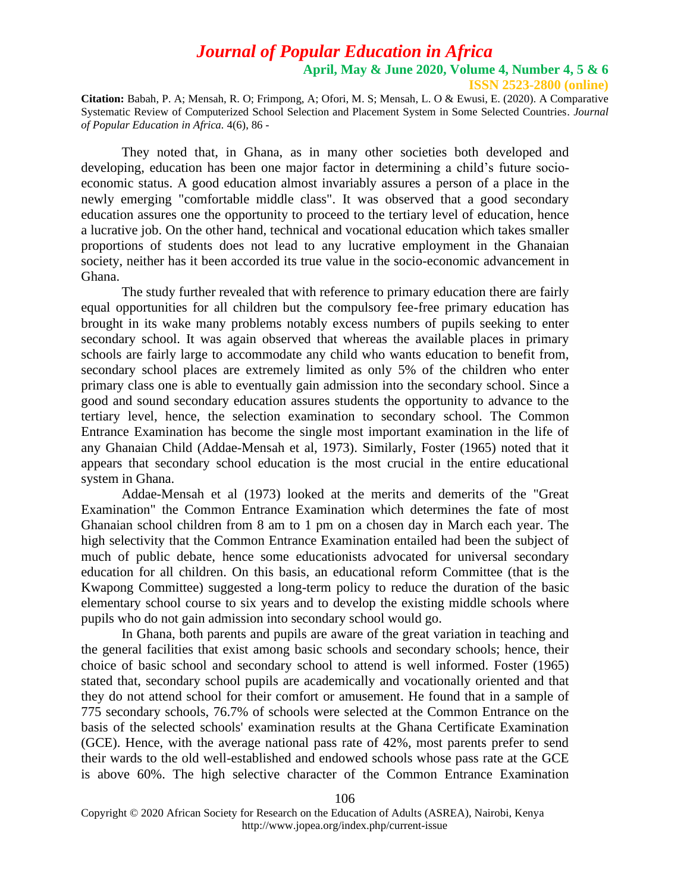**ISSN 2523-2800 (online)**

**Citation:** Babah, P. A; Mensah, R. O; Frimpong, A; Ofori, M. S; Mensah, L. O & Ewusi, E. (2020). A Comparative Systematic Review of Computerized School Selection and Placement System in Some Selected Countries. *Journal of Popular Education in Africa.* 4(6), 86 -

They noted that, in Ghana, as in many other societies both developed and developing, education has been one major factor in determining a child's future socioeconomic status. A good education almost invariably assures a person of a place in the newly emerging "comfortable middle class". It was observed that a good secondary education assures one the opportunity to proceed to the tertiary level of education, hence a lucrative job. On the other hand, technical and vocational education which takes smaller proportions of students does not lead to any lucrative employment in the Ghanaian society, neither has it been accorded its true value in the socio-economic advancement in Ghana.

The study further revealed that with reference to primary education there are fairly equal opportunities for all children but the compulsory fee-free primary education has brought in its wake many problems notably excess numbers of pupils seeking to enter secondary school. It was again observed that whereas the available places in primary schools are fairly large to accommodate any child who wants education to benefit from, secondary school places are extremely limited as only 5% of the children who enter primary class one is able to eventually gain admission into the secondary school. Since a good and sound secondary education assures students the opportunity to advance to the tertiary level, hence, the selection examination to secondary school. The Common Entrance Examination has become the single most important examination in the life of any Ghanaian Child (Addae-Mensah et al, 1973). Similarly, Foster (1965) noted that it appears that secondary school education is the most crucial in the entire educational system in Ghana.

Addae-Mensah et al (1973) looked at the merits and demerits of the "Great Examination" the Common Entrance Examination which determines the fate of most Ghanaian school children from 8 am to 1 pm on a chosen day in March each year. The high selectivity that the Common Entrance Examination entailed had been the subject of much of public debate, hence some educationists advocated for universal secondary education for all children. On this basis, an educational reform Committee (that is the Kwapong Committee) suggested a long-term policy to reduce the duration of the basic elementary school course to six years and to develop the existing middle schools where pupils who do not gain admission into secondary school would go.

In Ghana, both parents and pupils are aware of the great variation in teaching and the general facilities that exist among basic schools and secondary schools; hence, their choice of basic school and secondary school to attend is well informed. Foster (1965) stated that, secondary school pupils are academically and vocationally oriented and that they do not attend school for their comfort or amusement. He found that in a sample of 775 secondary schools, 76.7% of schools were selected at the Common Entrance on the basis of the selected schools' examination results at the Ghana Certificate Examination (GCE). Hence, with the average national pass rate of 42%, most parents prefer to send their wards to the old well-established and endowed schools whose pass rate at the GCE is above 60%. The high selective character of the Common Entrance Examination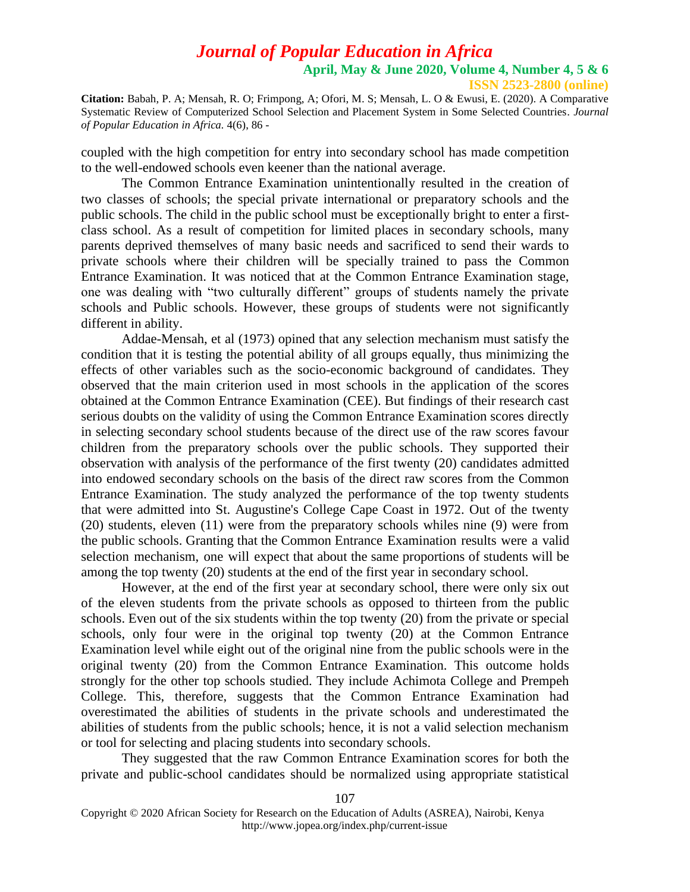**Citation:** Babah, P. A; Mensah, R. O; Frimpong, A; Ofori, M. S; Mensah, L. O & Ewusi, E. (2020). A Comparative Systematic Review of Computerized School Selection and Placement System in Some Selected Countries. *Journal of Popular Education in Africa.* 4(6), 86 -

coupled with the high competition for entry into secondary school has made competition to the well-endowed schools even keener than the national average.

The Common Entrance Examination unintentionally resulted in the creation of two classes of schools; the special private international or preparatory schools and the public schools. The child in the public school must be exceptionally bright to enter a firstclass school. As a result of competition for limited places in secondary schools, many parents deprived themselves of many basic needs and sacrificed to send their wards to private schools where their children will be specially trained to pass the Common Entrance Examination. It was noticed that at the Common Entrance Examination stage, one was dealing with "two culturally different" groups of students namely the private schools and Public schools. However, these groups of students were not significantly different in ability.

Addae-Mensah, et al (1973) opined that any selection mechanism must satisfy the condition that it is testing the potential ability of all groups equally, thus minimizing the effects of other variables such as the socio-economic background of candidates. They observed that the main criterion used in most schools in the application of the scores obtained at the Common Entrance Examination (CEE). But findings of their research cast serious doubts on the validity of using the Common Entrance Examination scores directly in selecting secondary school students because of the direct use of the raw scores favour children from the preparatory schools over the public schools. They supported their observation with analysis of the performance of the first twenty (20) candidates admitted into endowed secondary schools on the basis of the direct raw scores from the Common Entrance Examination. The study analyzed the performance of the top twenty students that were admitted into St. Augustine's College Cape Coast in 1972. Out of the twenty (20) students, eleven (11) were from the preparatory schools whiles nine (9) were from the public schools. Granting that the Common Entrance Examination results were a valid selection mechanism, one will expect that about the same proportions of students will be among the top twenty (20) students at the end of the first year in secondary school.

However, at the end of the first year at secondary school, there were only six out of the eleven students from the private schools as opposed to thirteen from the public schools. Even out of the six students within the top twenty (20) from the private or special schools, only four were in the original top twenty (20) at the Common Entrance Examination level while eight out of the original nine from the public schools were in the original twenty (20) from the Common Entrance Examination. This outcome holds strongly for the other top schools studied. They include Achimota College and Prempeh College. This, therefore, suggests that the Common Entrance Examination had overestimated the abilities of students in the private schools and underestimated the abilities of students from the public schools; hence, it is not a valid selection mechanism or tool for selecting and placing students into secondary schools.

They suggested that the raw Common Entrance Examination scores for both the private and public-school candidates should be normalized using appropriate statistical

Copyright © 2020 African Society for Research on the Education of Adults (ASREA), Nairobi, Kenya http://www.jopea.org/index.php/current-issue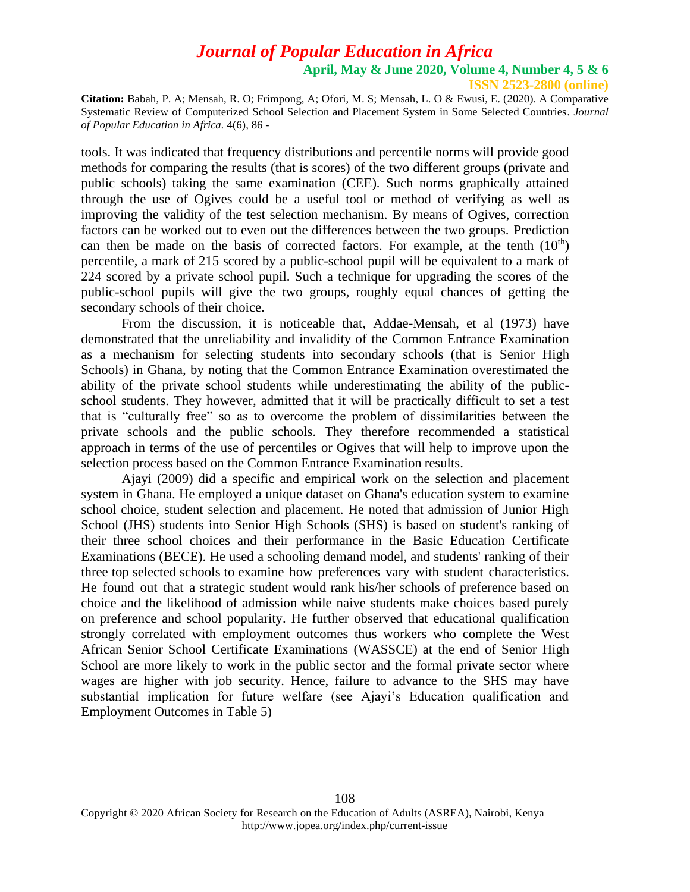**ISSN 2523-2800 (online)**

**Citation:** Babah, P. A; Mensah, R. O; Frimpong, A; Ofori, M. S; Mensah, L. O & Ewusi, E. (2020). A Comparative Systematic Review of Computerized School Selection and Placement System in Some Selected Countries. *Journal of Popular Education in Africa.* 4(6), 86 -

tools. It was indicated that frequency distributions and percentile norms will provide good methods for comparing the results (that is scores) of the two different groups (private and public schools) taking the same examination (CEE). Such norms graphically attained through the use of Ogives could be a useful tool or method of verifying as well as improving the validity of the test selection mechanism. By means of Ogives, correction factors can be worked out to even out the differences between the two groups. Prediction can then be made on the basis of corrected factors. For example, at the tenth  $(10<sup>th</sup>)$ percentile, a mark of 215 scored by a public-school pupil will be equivalent to a mark of 224 scored by a private school pupil. Such a technique for upgrading the scores of the public-school pupils will give the two groups, roughly equal chances of getting the secondary schools of their choice.

From the discussion, it is noticeable that, Addae-Mensah, et al (1973) have demonstrated that the unreliability and invalidity of the Common Entrance Examination as a mechanism for selecting students into secondary schools (that is Senior High Schools) in Ghana, by noting that the Common Entrance Examination overestimated the ability of the private school students while underestimating the ability of the publicschool students. They however, admitted that it will be practically difficult to set a test that is "culturally free" so as to overcome the problem of dissimilarities between the private schools and the public schools. They therefore recommended a statistical approach in terms of the use of percentiles or Ogives that will help to improve upon the selection process based on the Common Entrance Examination results.

Ajayi (2009) did a specific and empirical work on the selection and placement system in Ghana. He employed a unique dataset on Ghana's education system to examine school choice, student selection and placement. He noted that admission of Junior High School (JHS) students into Senior High Schools (SHS) is based on student's ranking of their three school choices and their performance in the Basic Education Certificate Examinations (BECE). He used a schooling demand model, and students' ranking of their three top selected schools to examine how preferences vary with student characteristics. He found out that a strategic student would rank his/her schools of preference based on choice and the likelihood of admission while naive students make choices based purely on preference and school popularity. He further observed that educational qualification strongly correlated with employment outcomes thus workers who complete the West African Senior School Certificate Examinations (WASSCE) at the end of Senior High School are more likely to work in the public sector and the formal private sector where wages are higher with job security. Hence, failure to advance to the SHS may have substantial implication for future welfare (see Ajayi's Education qualification and Employment Outcomes in Table 5)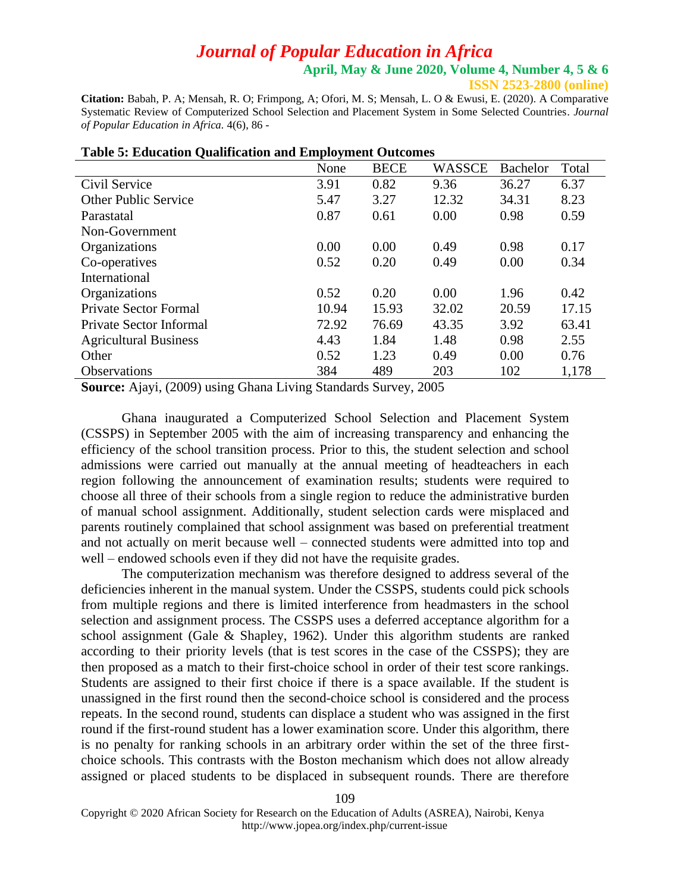**April, May & June 2020, Volume 4, Number 4, 5 & 6**

**ISSN 2523-2800 (online)**

**Citation:** Babah, P. A; Mensah, R. O; Frimpong, A; Ofori, M. S; Mensah, L. O & Ewusi, E. (2020). A Comparative Systematic Review of Computerized School Selection and Placement System in Some Selected Countries. *Journal of Popular Education in Africa.* 4(6), 86 -

|                                | None  | <b>BECE</b> | <b>WASSCE</b> | <b>Bachelor</b> | Total |
|--------------------------------|-------|-------------|---------------|-----------------|-------|
| Civil Service                  | 3.91  | 0.82        | 9.36          | 36.27           | 6.37  |
| <b>Other Public Service</b>    | 5.47  | 3.27        | 12.32         | 34.31           | 8.23  |
| Parastatal                     | 0.87  | 0.61        | 0.00          | 0.98            | 0.59  |
| Non-Government                 |       |             |               |                 |       |
| Organizations                  | 0.00  | 0.00        | 0.49          | 0.98            | 0.17  |
| Co-operatives                  | 0.52  | 0.20        | 0.49          | 0.00            | 0.34  |
| International                  |       |             |               |                 |       |
| Organizations                  | 0.52  | 0.20        | 0.00          | 1.96            | 0.42  |
| <b>Private Sector Formal</b>   | 10.94 | 15.93       | 32.02         | 20.59           | 17.15 |
| <b>Private Sector Informal</b> | 72.92 | 76.69       | 43.35         | 3.92            | 63.41 |
| <b>Agricultural Business</b>   | 4.43  | 1.84        | 1.48          | 0.98            | 2.55  |
| Other                          | 0.52  | 1.23        | 0.49          | 0.00            | 0.76  |
| <b>Observations</b>            | 384   | 489         | 203           | 102             | 1,178 |

#### **Table 5: Education Qualification and Employment Outcomes**

**Source:** Ajayi, (2009) using Ghana Living Standards Survey, 2005

Ghana inaugurated a Computerized School Selection and Placement System (CSSPS) in September 2005 with the aim of increasing transparency and enhancing the efficiency of the school transition process. Prior to this, the student selection and school admissions were carried out manually at the annual meeting of headteachers in each region following the announcement of examination results; students were required to choose all three of their schools from a single region to reduce the administrative burden of manual school assignment. Additionally, student selection cards were misplaced and parents routinely complained that school assignment was based on preferential treatment and not actually on merit because well – connected students were admitted into top and well – endowed schools even if they did not have the requisite grades.

The computerization mechanism was therefore designed to address several of the deficiencies inherent in the manual system. Under the CSSPS, students could pick schools from multiple regions and there is limited interference from headmasters in the school selection and assignment process. The CSSPS uses a deferred acceptance algorithm for a school assignment (Gale & Shapley, 1962). Under this algorithm students are ranked according to their priority levels (that is test scores in the case of the CSSPS); they are then proposed as a match to their first-choice school in order of their test score rankings. Students are assigned to their first choice if there is a space available. If the student is unassigned in the first round then the second-choice school is considered and the process repeats. In the second round, students can displace a student who was assigned in the first round if the first-round student has a lower examination score. Under this algorithm, there is no penalty for ranking schools in an arbitrary order within the set of the three firstchoice schools. This contrasts with the Boston mechanism which does not allow already assigned or placed students to be displaced in subsequent rounds. There are therefore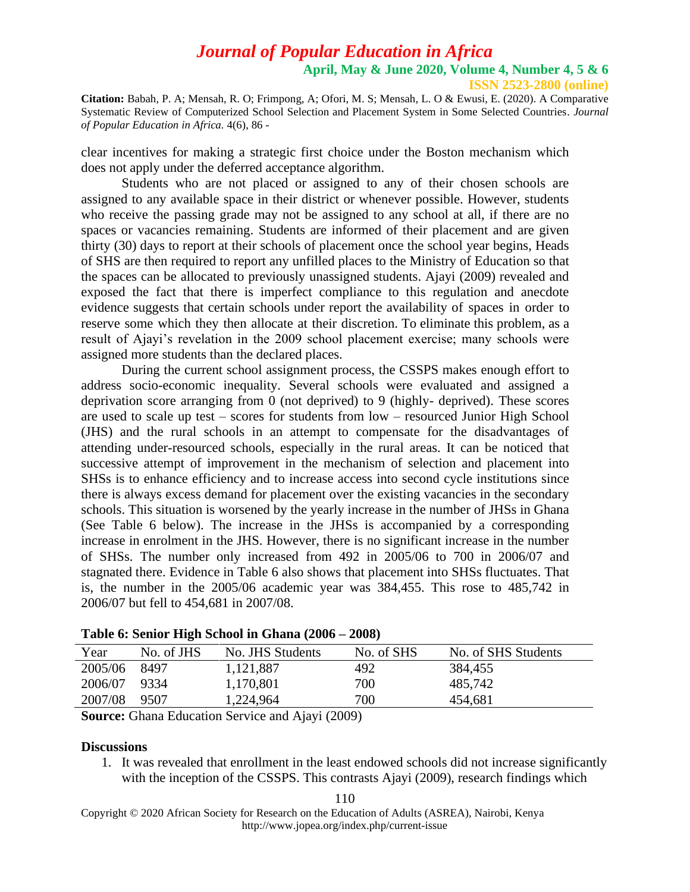**Citation:** Babah, P. A; Mensah, R. O; Frimpong, A; Ofori, M. S; Mensah, L. O & Ewusi, E. (2020). A Comparative Systematic Review of Computerized School Selection and Placement System in Some Selected Countries. *Journal of Popular Education in Africa.* 4(6), 86 -

clear incentives for making a strategic first choice under the Boston mechanism which does not apply under the deferred acceptance algorithm.

Students who are not placed or assigned to any of their chosen schools are assigned to any available space in their district or whenever possible. However, students who receive the passing grade may not be assigned to any school at all, if there are no spaces or vacancies remaining. Students are informed of their placement and are given thirty (30) days to report at their schools of placement once the school year begins, Heads of SHS are then required to report any unfilled places to the Ministry of Education so that the spaces can be allocated to previously unassigned students. Ajayi (2009) revealed and exposed the fact that there is imperfect compliance to this regulation and anecdote evidence suggests that certain schools under report the availability of spaces in order to reserve some which they then allocate at their discretion. To eliminate this problem, as a result of Ajayi's revelation in the 2009 school placement exercise; many schools were assigned more students than the declared places.

During the current school assignment process, the CSSPS makes enough effort to address socio-economic inequality. Several schools were evaluated and assigned a deprivation score arranging from 0 (not deprived) to 9 (highly- deprived). These scores are used to scale up test – scores for students from low – resourced Junior High School (JHS) and the rural schools in an attempt to compensate for the disadvantages of attending under-resourced schools, especially in the rural areas. It can be noticed that successive attempt of improvement in the mechanism of selection and placement into SHSs is to enhance efficiency and to increase access into second cycle institutions since there is always excess demand for placement over the existing vacancies in the secondary schools. This situation is worsened by the yearly increase in the number of JHSs in Ghana (See Table 6 below). The increase in the JHSs is accompanied by a corresponding increase in enrolment in the JHS. However, there is no significant increase in the number of SHSs. The number only increased from 492 in 2005/06 to 700 in 2006/07 and stagnated there. Evidence in Table 6 also shows that placement into SHSs fluctuates. That is, the number in the 2005/06 academic year was 384,455. This rose to 485,742 in 2006/07 but fell to 454,681 in 2007/08.

| Year    | No. of JHS | No. JHS Students | No. of SHS | No. of SHS Students |
|---------|------------|------------------|------------|---------------------|
| 2005/06 | 8497       | 1,121,887        | 492        | 384,455             |
| 2006/07 | -9334      | 1,170,801        | 700        | 485,742             |
| 2007/08 | 9507       | 1,224,964        | 700        | 454,681             |
|         |            |                  |            |                     |

**Source:** Ghana Education Service and Ajayi (2009)

### **Discussions**

1. It was revealed that enrollment in the least endowed schools did not increase significantly with the inception of the CSSPS. This contrasts Ajayi (2009), research findings which

110

Copyright © 2020 African Society for Research on the Education of Adults (ASREA), Nairobi, Kenya http://www.jopea.org/index.php/current-issue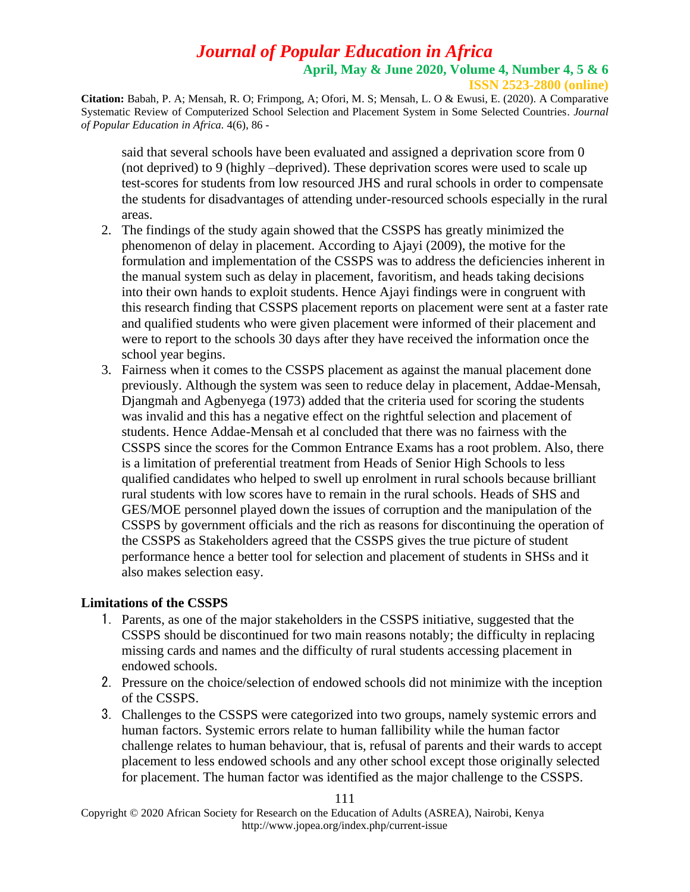**Citation:** Babah, P. A; Mensah, R. O; Frimpong, A; Ofori, M. S; Mensah, L. O & Ewusi, E. (2020). A Comparative Systematic Review of Computerized School Selection and Placement System in Some Selected Countries. *Journal of Popular Education in Africa.* 4(6), 86 -

said that several schools have been evaluated and assigned a deprivation score from 0 (not deprived) to 9 (highly –deprived). These deprivation scores were used to scale up test-scores for students from low resourced JHS and rural schools in order to compensate the students for disadvantages of attending under-resourced schools especially in the rural areas.

- 2. The findings of the study again showed that the CSSPS has greatly minimized the phenomenon of delay in placement. According to Ajayi (2009), the motive for the formulation and implementation of the CSSPS was to address the deficiencies inherent in the manual system such as delay in placement, favoritism, and heads taking decisions into their own hands to exploit students. Hence Ajayi findings were in congruent with this research finding that CSSPS placement reports on placement were sent at a faster rate and qualified students who were given placement were informed of their placement and were to report to the schools 30 days after they have received the information once the school year begins.
- 3. Fairness when it comes to the CSSPS placement as against the manual placement done previously. Although the system was seen to reduce delay in placement, Addae-Mensah, Djangmah and Agbenyega (1973) added that the criteria used for scoring the students was invalid and this has a negative effect on the rightful selection and placement of students. Hence Addae-Mensah et al concluded that there was no fairness with the CSSPS since the scores for the Common Entrance Exams has a root problem. Also, there is a limitation of preferential treatment from Heads of Senior High Schools to less qualified candidates who helped to swell up enrolment in rural schools because brilliant rural students with low scores have to remain in the rural schools. Heads of SHS and GES/MOE personnel played down the issues of corruption and the manipulation of the CSSPS by government officials and the rich as reasons for discontinuing the operation of the CSSPS as Stakeholders agreed that the CSSPS gives the true picture of student performance hence a better tool for selection and placement of students in SHSs and it also makes selection easy.

## **Limitations of the CSSPS**

- 1. Parents, as one of the major stakeholders in the CSSPS initiative, suggested that the CSSPS should be discontinued for two main reasons notably; the difficulty in replacing missing cards and names and the difficulty of rural students accessing placement in endowed schools.
- 2. Pressure on the choice/selection of endowed schools did not minimize with the inception of the CSSPS.
- 3. Challenges to the CSSPS were categorized into two groups, namely systemic errors and human factors. Systemic errors relate to human fallibility while the human factor challenge relates to human behaviour, that is, refusal of parents and their wards to accept placement to less endowed schools and any other school except those originally selected for placement. The human factor was identified as the major challenge to the CSSPS.

Copyright © 2020 African Society for Research on the Education of Adults (ASREA), Nairobi, Kenya http://www.jopea.org/index.php/current-issue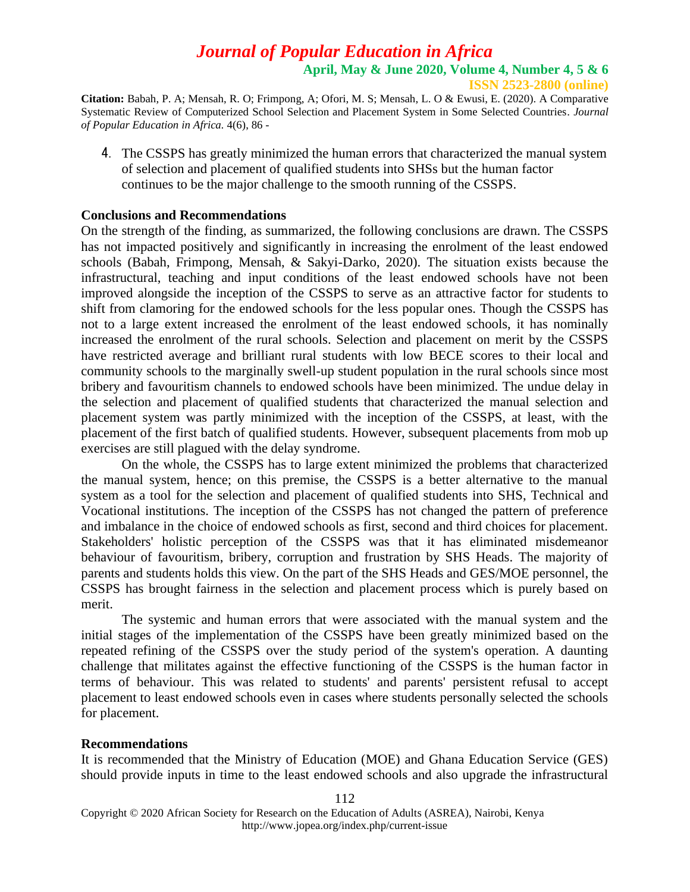**ISSN 2523-2800 (online)**

**Citation:** Babah, P. A; Mensah, R. O; Frimpong, A; Ofori, M. S; Mensah, L. O & Ewusi, E. (2020). A Comparative Systematic Review of Computerized School Selection and Placement System in Some Selected Countries. *Journal of Popular Education in Africa.* 4(6), 86 -

4. The CSSPS has greatly minimized the human errors that characterized the manual system of selection and placement of qualified students into SHSs but the human factor continues to be the major challenge to the smooth running of the CSSPS.

### **Conclusions and Recommendations**

On the strength of the finding, as summarized, the following conclusions are drawn. The CSSPS has not impacted positively and significantly in increasing the enrolment of the least endowed schools (Babah, Frimpong, Mensah, & Sakyi-Darko, 2020). The situation exists because the infrastructural, teaching and input conditions of the least endowed schools have not been improved alongside the inception of the CSSPS to serve as an attractive factor for students to shift from clamoring for the endowed schools for the less popular ones. Though the CSSPS has not to a large extent increased the enrolment of the least endowed schools, it has nominally increased the enrolment of the rural schools. Selection and placement on merit by the CSSPS have restricted average and brilliant rural students with low BECE scores to their local and community schools to the marginally swell-up student population in the rural schools since most bribery and favouritism channels to endowed schools have been minimized. The undue delay in the selection and placement of qualified students that characterized the manual selection and placement system was partly minimized with the inception of the CSSPS, at least, with the placement of the first batch of qualified students. However, subsequent placements from mob up exercises are still plagued with the delay syndrome.

On the whole, the CSSPS has to large extent minimized the problems that characterized the manual system, hence; on this premise, the CSSPS is a better alternative to the manual system as a tool for the selection and placement of qualified students into SHS, Technical and Vocational institutions. The inception of the CSSPS has not changed the pattern of preference and imbalance in the choice of endowed schools as first, second and third choices for placement. Stakeholders' holistic perception of the CSSPS was that it has eliminated misdemeanor behaviour of favouritism, bribery, corruption and frustration by SHS Heads. The majority of parents and students holds this view. On the part of the SHS Heads and GES/MOE personnel, the CSSPS has brought fairness in the selection and placement process which is purely based on merit.

The systemic and human errors that were associated with the manual system and the initial stages of the implementation of the CSSPS have been greatly minimized based on the repeated refining of the CSSPS over the study period of the system's operation. A daunting challenge that militates against the effective functioning of the CSSPS is the human factor in terms of behaviour. This was related to students' and parents' persistent refusal to accept placement to least endowed schools even in cases where students personally selected the schools for placement.

#### **Recommendations**

It is recommended that the Ministry of Education (MOE) and Ghana Education Service (GES) should provide inputs in time to the least endowed schools and also upgrade the infrastructural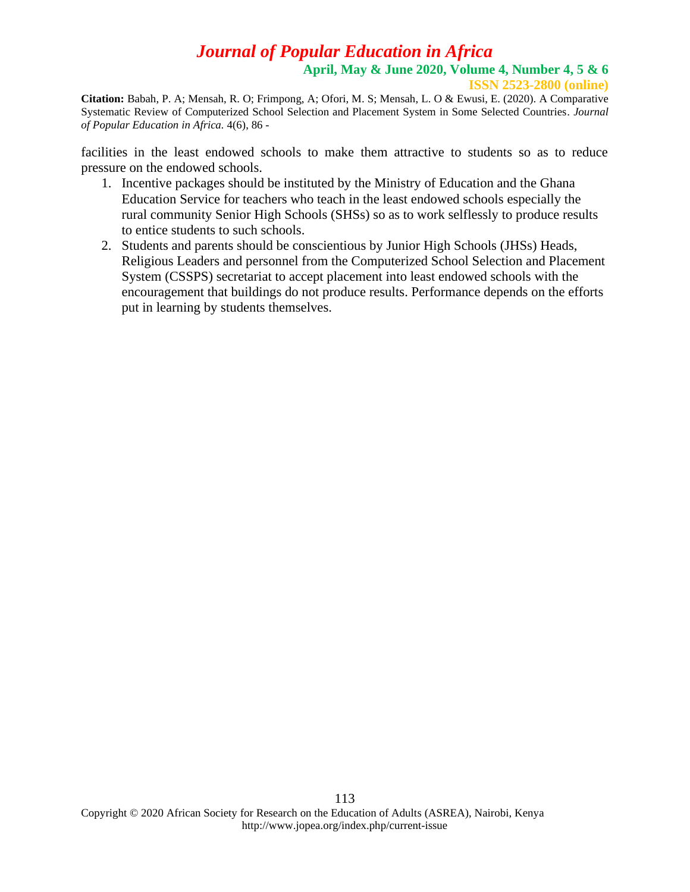**Citation:** Babah, P. A; Mensah, R. O; Frimpong, A; Ofori, M. S; Mensah, L. O & Ewusi, E. (2020). A Comparative Systematic Review of Computerized School Selection and Placement System in Some Selected Countries. *Journal of Popular Education in Africa.* 4(6), 86 -

facilities in the least endowed schools to make them attractive to students so as to reduce pressure on the endowed schools.

- 1. Incentive packages should be instituted by the Ministry of Education and the Ghana Education Service for teachers who teach in the least endowed schools especially the rural community Senior High Schools (SHSs) so as to work selflessly to produce results to entice students to such schools.
- 2. Students and parents should be conscientious by Junior High Schools (JHSs) Heads, Religious Leaders and personnel from the Computerized School Selection and Placement System (CSSPS) secretariat to accept placement into least endowed schools with the encouragement that buildings do not produce results. Performance depends on the efforts put in learning by students themselves.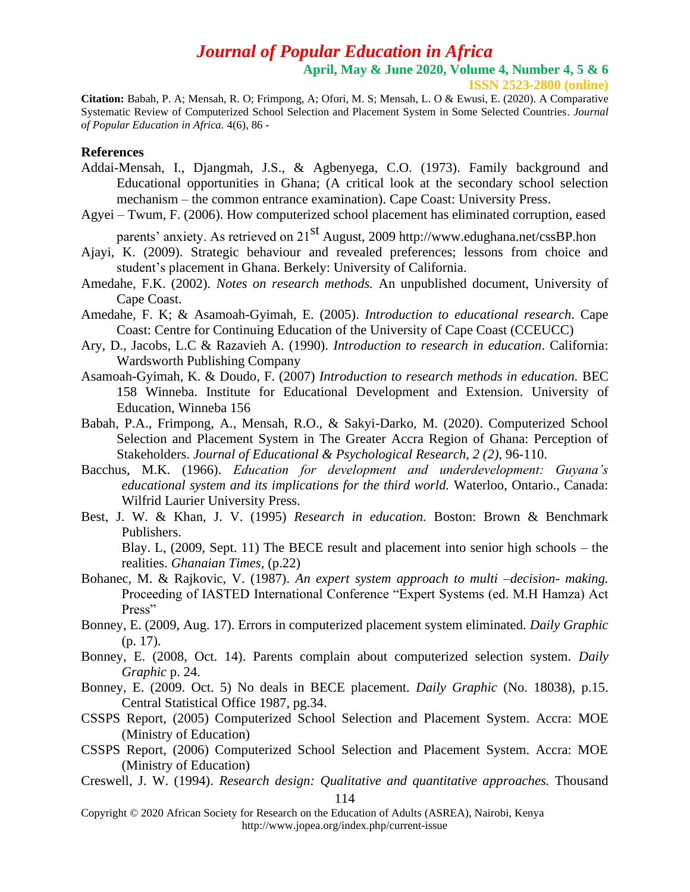**ISSN 2523-2800 (online)**

**Citation:** Babah, P. A; Mensah, R. O; Frimpong, A; Ofori, M. S; Mensah, L. O & Ewusi, E. (2020). A Comparative Systematic Review of Computerized School Selection and Placement System in Some Selected Countries. *Journal of Popular Education in Africa.* 4(6), 86 -

### **References**

- Addai-Mensah, I., Djangmah, J.S., & Agbenyega, C.O. (1973). Family background and Educational opportunities in Ghana; (A critical look at the secondary school selection mechanism – the common entrance examination). Cape Coast: University Press.
- Agyei Twum, F. (2006). How computerized school placement has eliminated corruption, eased

parents' anxiety. As retrieved on 21<sup>st</sup> August, 2009<http://www.edughana.net/cssBP.hon>

- Ajayi, K. (2009). Strategic behaviour and revealed preferences; lessons from choice and student's placement in Ghana. Berkely: University of California.
- Amedahe, F.K. (2002). *Notes on research methods.* An unpublished document, University of Cape Coast.
- Amedahe, F. K; & Asamoah-Gyimah, E. (2005). *Introduction to educational research*. Cape Coast: Centre for Continuing Education of the University of Cape Coast (CCEUCC)
- Ary, D., Jacobs, L.C & Razavieh A. (1990). *Introduction to research in education*. California: Wardsworth Publishing Company
- Asamoah-Gyimah, K. & Doudo, F. (2007) *Introduction to research methods in education.* BEC 158 Winneba. Institute for Educational Development and Extension. University of Education, Winneba 156
- Babah, P.A., Frimpong, A., Mensah, R.O., & Sakyi-Darko, M. (2020). Computerized School Selection and Placement System in The Greater Accra Region of Ghana: Perception of Stakeholders. *Journal of Educational & Psychological Research, 2 (2),* 96-110.
- Bacchus, M.K. (1966). *Education for development and underdevelopment: Guyana's educational system and its implications for the third world.* Waterloo, Ontario., Canada: Wilfrid Laurier University Press.
- Best, J. W. & Khan, J. V. (1995) *Research in education.* Boston: Brown & Benchmark Publishers.

Blay. L, (2009, Sept. 11) The BECE result and placement into senior high schools – the realities. *Ghanaian Times,* (p.22)

- Bohanec, M. & Rajkovic, V. (1987). *An expert system approach to multi –decision- making.*  Proceeding of IASTED International Conference "Expert Systems (ed. M.H Hamza) Act Press"
- Bonney, E. (2009, Aug. 17). Errors in computerized placement system eliminated. *Daily Graphic* (p. 17).
- Bonney, E. (2008, Oct. 14). Parents complain about computerized selection system. *Daily Graphic* p. 24.
- Bonney, E. (2009. Oct. 5) No deals in BECE placement. *Daily Graphic* (No. 18038), p.15. Central Statistical Office 1987, pg.34.
- CSSPS Report, (2005) Computerized School Selection and Placement System. Accra: MOE (Ministry of Education)
- CSSPS Report, (2006) Computerized School Selection and Placement System. Accra: MOE (Ministry of Education)
- 114 Creswell, J. W. (1994). *Research design: Qualitative and quantitative approaches.* Thousand

Copyright © 2020 African Society for Research on the Education of Adults (ASREA), Nairobi, Kenya http://www.jopea.org/index.php/current-issue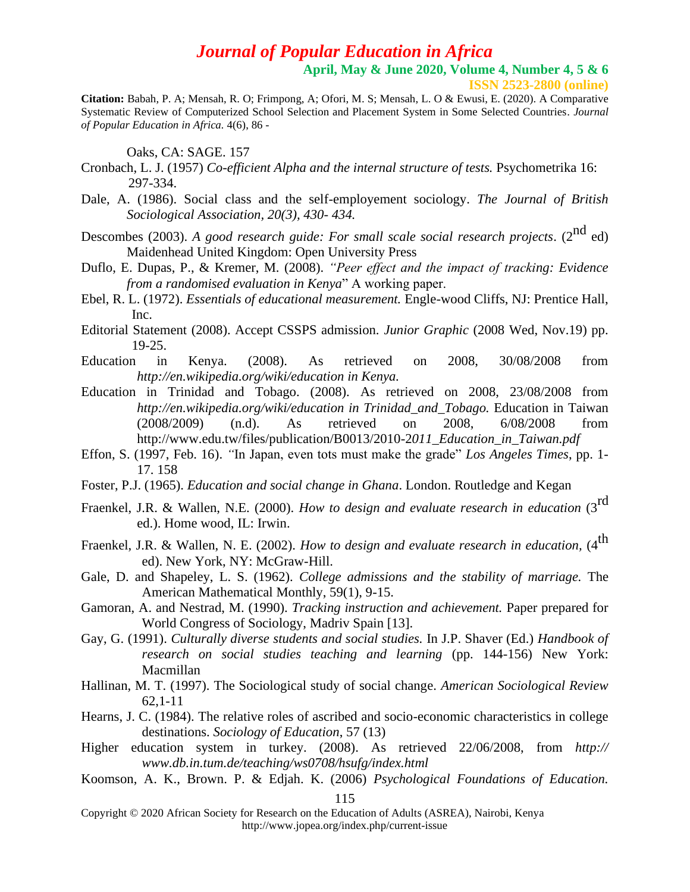**April, May & June 2020, Volume 4, Number 4, 5 & 6**

**ISSN 2523-2800 (online)**

**Citation:** Babah, P. A; Mensah, R. O; Frimpong, A; Ofori, M. S; Mensah, L. O & Ewusi, E. (2020). A Comparative Systematic Review of Computerized School Selection and Placement System in Some Selected Countries. *Journal of Popular Education in Africa.* 4(6), 86 -

Oaks, CA: SAGE. 157

- Cronbach, L. J. (1957) *Co-efficient Alpha and the internal structure of tests.* Psychometrika 16: 297-334.
- Dale, A. (1986). Social class and the self-employement sociology. *The Journal of British Sociological Association, 20(3), 430- 434.*
- Descombes (2003). *A good research guide: For small scale social research projects.* (2<sup>nd</sup> ed) Maidenhead United Kingdom: Open University Press
- Duflo, E. Dupas, P., & Kremer, M. (2008). *"Peer effect and the impact of tracking: Evidence from a randomised evaluation in Kenya*" A working paper.
- Ebel, R. L. (1972). *Essentials of educational measurement.* Engle-wood Cliffs, NJ: Prentice Hall, Inc.
- Editorial Statement (2008). Accept CSSPS admission. *Junior Graphic* (2008 Wed, Nov.19) pp. 19-25.
- Education in Kenya. (2008). As retrieved on 2008, 30/08/2008 from *http://en.wikipedia.org/wiki/education in Kenya.*
- Education in Trinidad and Tobago. (2008). As retrieved on 2008, 23/08/2008 from *http://en.wikipedia.org/wiki/education in Trinidad\_and\_Tobago.* Education in Taiwan (2008/2009) (n.d). As retrieved on 2008, 6/08/2008 from [http://www.edu.tw/files/publication/B0013/2010-2](http://www.edu.tw/files/publication/B0013/2010-2011_Education_in_Taiwan.pdf)*011\_Education\_in\_Taiwan.pdf*
- Effon, S. (1997, Feb. 16). *"*In Japan, even tots must make the grade" *Los Angeles Times*, pp. 1- 17. 158
- Foster, P.J. (1965). *Education and social change in Ghana*. London. Routledge and Kegan
- Fraenkel, J.R. & Wallen, N.E. (2000). *How to design and evaluate research in education* (3rd ed.). Home wood, IL: Irwin.
- Fraenkel, J.R. & Wallen, N. E. (2002). *How to design and evaluate research in education*, (4<sup>th</sup> ed). New York, NY: McGraw-Hill.
- Gale, D. and Shapeley, L. S. (1962). *College admissions and the stability of marriage.* The American Mathematical Monthly, 59(1), 9-15.
- Gamoran, A. and Nestrad, M. (1990). *Tracking instruction and achievement.* Paper prepared for World Congress of Sociology, Madriv Spain [13].
- Gay, G. (1991). *Culturally diverse students and social studies.* In J.P. Shaver (Ed.) *Handbook of research on social studies teaching and learning* (pp. 144-156) New York: Macmillan
- Hallinan, M. T. (1997). The Sociological study of social change. *American Sociological Review*  62,1-11
- Hearns, J. C. (1984). The relative roles of ascribed and socio-economic characteristics in college destinations. *Sociology of Education*, 57 (13)
- Higher education system in turkey. (2008). As retrieved 22/06/2008, from *http:// www.db.in.tum.de/teaching/ws0708/hsufg/index.html*
- Koomson, A. K., Brown. P. & Edjah. K. (2006) *Psychological Foundations of Education.*

Copyright © 2020 African Society for Research on the Education of Adults (ASREA), Nairobi, Kenya http://www.jopea.org/index.php/current-issue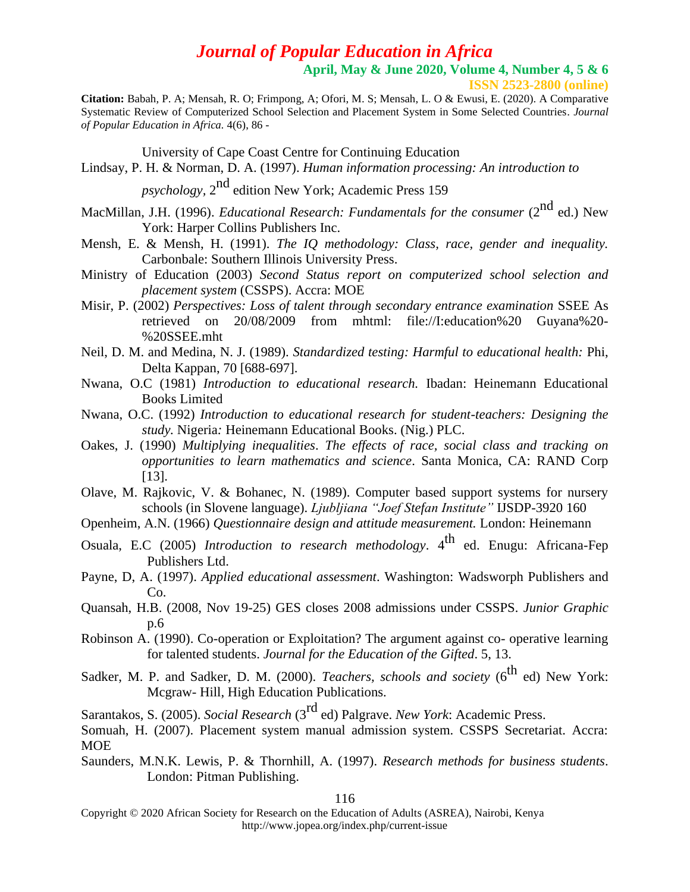**April, May & June 2020, Volume 4, Number 4, 5 & 6**

**ISSN 2523-2800 (online)**

**Citation:** Babah, P. A; Mensah, R. O; Frimpong, A; Ofori, M. S; Mensah, L. O & Ewusi, E. (2020). A Comparative Systematic Review of Computerized School Selection and Placement System in Some Selected Countries. *Journal of Popular Education in Africa.* 4(6), 86 -

University of Cape Coast Centre for Continuing Education

Lindsay, P. H. & Norman, D. A. (1997). *Human information processing: An introduction to*

psychology, 2<sup>nd</sup> edition New York; Academic Press 159

- MacMillan, J.H. (1996). *Educational Research: Fundamentals for the consumer* (2<sup>nd</sup> ed.) New York: Harper Collins Publishers Inc.
- Mensh, E. & Mensh, H. (1991). *The IQ methodology: Class, race, gender and inequality.*  Carbonbale: Southern Illinois University Press.
- Ministry of Education (2003) *Second Status report on computerized school selection and placement system* (CSSPS). Accra: MOE
- Misir, P. (2002) *Perspectives: Loss of talent through secondary entrance examination* SSEE As retrieved on 20/08/2009 from mhtml: file://I:education%20 Guyana%20- %20SSEE.mht
- Neil, D. M. and Medina, N. J. (1989). *Standardized testing: Harmful to educational health:* Phi, Delta Kappan, 70 [688-697].
- Nwana, O.C (1981) *Introduction to educational research.* Ibadan: Heinemann Educational Books Limited
- Nwana, O.C. (1992) *Introduction to educational research for student-teachers: Designing the study.* Nigeria*:* Heinemann Educational Books. (Nig.) PLC.
- Oakes, J. (1990) *Multiplying inequalities*. *The effects of race, social class and tracking on opportunities to learn mathematics and science*. Santa Monica, CA: RAND Corp [13].
- Olave, M. Rajkovic, V. & Bohanec, N. (1989). Computer based support systems for nursery schools (in Slovene language). *Ljubljiana "Joef Stefan Institute"* IJSDP-3920 160
- Openheim, A.N. (1966) *Questionnaire design and attitude measurement.* London: Heinemann
- Osuala, E.C (2005) *Introduction to research methodology*. 4<sup>th</sup> ed. Enugu: Africana-Fep Publishers Ltd.
- Payne, D, A. (1997). *Applied educational assessment*. Washington: Wadsworph Publishers and Co.
- Quansah, H.B. (2008, Nov 19-25) GES closes 2008 admissions under CSSPS*. Junior Graphic*  p.6
- Robinson A. (1990). Co-operation or Exploitation? The argument against co- operative learning for talented students. *Journal for the Education of the Gifted*. 5, 13.
- Sadker, M. P. and Sadker, D. M. (2000). *Teachers, schools and society* (6<sup>th</sup> ed) New York: Mcgraw- Hill, High Education Publications.

Sarantakos, S. (2005). *Social Research* (3rd ed) Palgrave. *New York*: Academic Press.

Saunders, M.N.K. Lewis, P. & Thornhill, A. (1997). *Research methods for business students*. London: Pitman Publishing.

Somuah, H. (2007). Placement system manual admission system. CSSPS Secretariat. Accra: MOE

Copyright © 2020 African Society for Research on the Education of Adults (ASREA), Nairobi, Kenya http://www.jopea.org/index.php/current-issue